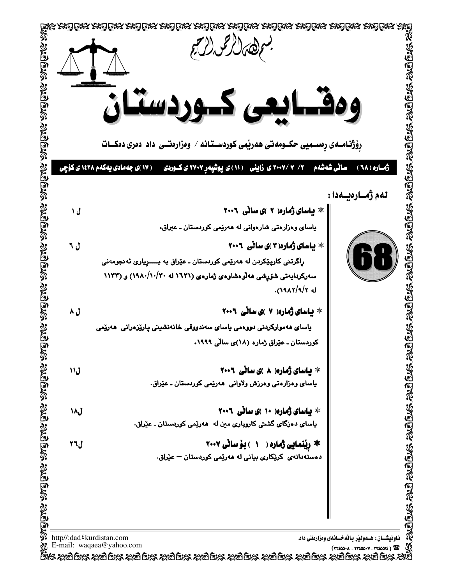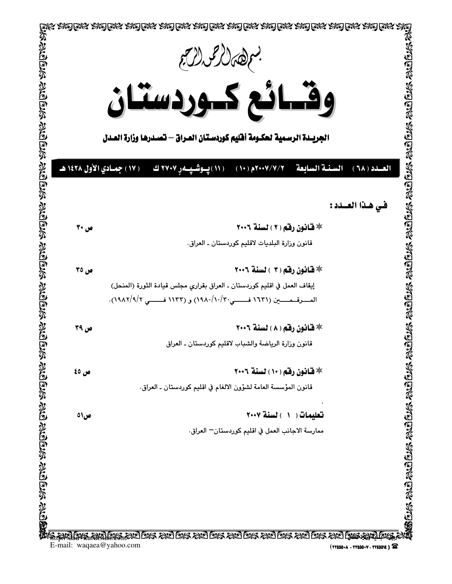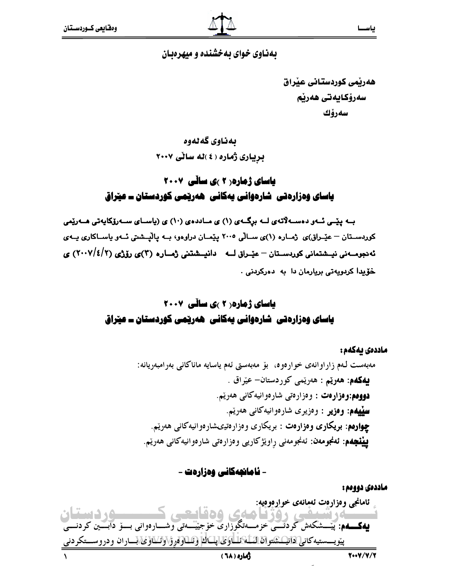#### بهناوی خوای به خشنده و میهرهبان

هەرتمى كوردستانى عنراق سەرۆكايەتى ھەرنم سەرۆك

بەناوي گەلەوە بریباری ژماره ( ٤ )له سالی ٢٠٠٧

## **یاسای ژماره ( ۲ )ی ساڵی ۲۰۰۷** یاسای وہزارہتی شارہوانی پەکانی ھەرپچی کوردستان ــ عیراق

بــه پێــی ئــهو دهســهلآتهى لــه برِگــهى (۱) ی مــاددهى (۱۰) ی (ياســای ســهرۆکاپهتی هــهرێمی کوردسـتان – عیّـراق)ی ژمـاره (۱)ی سـالّی ۲۰۰۵ پیّمـان دراوهو، بــه پالیّــشتی ئــهو پاســاکاری پــهی ئەدجومــەنى نيــشتمانى كوردســتان – عيّــراق لـــه دانيــشتنى ژمــاره (٣)ى رۆژى (٢/١٤/٢) ي خۆيدا كردويەتى بريارمان دا بە دەركردنى .

## باسای ژماره (۲ )ی سانّی ۲۰۰۷ یاسای وہزارہتی شارہوانی پەکانی ھەرپمی کوردستان ــ عیراق

ماددەى ئەكەم: مەبەست لەم زاراوانەي خوارەوە، بۆ مەبەستى ئەم ياسايە ماناكانى بەرامبەريانە: **يەكەم: ھەرتىم :** ھەرتمى كوردستان- عيراق . دووهم:وەزارەت : وەزارەتى شارەوانيەكانى ھەرپم. **سيپهم: وەزير :** وەزيرى شارەوانيەكانى ھەرپىم. **چوارهم: بریکاری وهزارهت :** بریکاری وهزارهتیهشارهوانیهکانی ههریم. **بيٽيچهم: ئەنجومەن:** ئەنجومەنى راوێژكارىي وەزارەتى شارەوانيەكانى ھەرێم.

- ئامانچەكانى وەزارەت -

ماددەى دوومم : ئامانجي وەزارەت ئەمانەي خوإرەوەيە: **۹۵ دستان** کے آپ آئیسیٹسی واقوا کے منابع کی وہ قاسمت کے مسلسلے ووٹ میں ان<br>**بیمکمہ**: پیسشکەش کردنسی خزمسەتگوزاری خۆجییسەتی وشسارەوانی بسۆ دابسین کردنسی <u>پيوي</u>ـــستيەكان<u>ى دانيـــشتوان ائـــلــاولى اپـــالـ</u>ا وشــارونوۆ\ولىلاوى\بـــاران ودروســـتكردنى أماره (٦٨)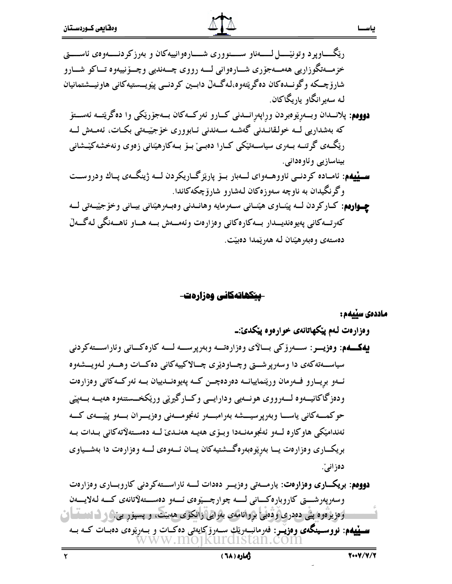رێڴــــــاوپرد وتونێــــــل لـــــــهناو ســـــنووری شـــــارەوانييەکان و بەرزکردنــــــەوەی ئاســــــق ڊ خزمــەتگوزاريى ھەمــەجۆرى شـــارەوانى لـــە رووى چـــەنديى وچــۆنييەوە تــاكو شـــارو شارۆچىكە وگونـىدەكان دەگرێتەوە،لەگـەلْ دابــين كردنــى پێويـــستيەكانى ھاونيـــشتمانيان لـه سەيرانگاو ياريگاكان. **دوومم**: پلانــدان وبــەرِيْوەبردن وراپەرِانــدنى كــارو ئەركــەكان بــەجۆرێكى وا دەگرێتــە ئەســتۆ كە بەشدارىي ك خولقانىدنى گەشــە ســەندنى ئــابوورى خۆجێــەتى بكــات، ئەمــەش كــە ڔ رێڴڡ، گرتنــه بــهری سیاســهتێکی کــارا دهبـیٚ بــوٚ بــهکارهێنانی زەوی ونهخشهکێــشانی بيناسازيي وئاوەدانى. **ســـپیهم:** ئامــاده کردنـــی ئاووهـــهوای لــــهبار بـــۆ پارێزگــاریکردن لــــه ژینگـــهی پــاك ودروســـت وگرنگیدان به ناوچه سەوزەكان لەشارو شارۆچكەكاندا. ڊ **چهوارهم**: کــارکردن لـــه پێنــاوی هێنــانی ســهرمايه وهانــدنی وهبــهرهێنانی بيــانی وخۆجێيــهتی لـــه كەرتــەكانى پەيوەنديـــدار بـــەكارەكانى وەزارەت وئەمـــەش بـــە هـــاو ئاهـــەنگى لـەگـــەلّ

دەستەى وەبەرھێنان لـه ھەرێمدا دەبێت. ڔ

**ـپیکھاتەکانى وەزارەت**-

ماددەى سێيەم :

 $\mathbb{R}^2$ 

ياســ

3@.'9 -,F.'9-\* !&- 33
 33-33-33
&9- -33, G33 ":-33
&336 -/33--33\*33!-''H33?&!33?33+&9- !--,-33
' \* -33--33 '@33-9-33I33?!!-33'#=-33J332& -33 '9-33 -33--= <33K.LB3333 !-33-33-33'B! -33-33''9-33 &33-330--33 - -/33'
&9- 33
-33#M -3 \* @3 -,G- 3
!-3@3--3-3 !-3-0--3.' @- '33+- ! \* -33-3333-' /33B- 2- 33\* 33.& ) !

است. از از وارو ایشی دهدری و قوایی بروانامهی بهرایی زانکوی ههبیت، و پسپور بی و از است آن از است. سر پلیهم: نووسسینگهی وەزیىر: فەرمانىيەرنىڭ سىەرۆكايەتى دەكـات و بــەرنيوەی دەبــات كــە بــە<br>WWW.MOJKUrCIStan.com **دووهم: بریکـــاری وەزارەت:** یارمــــەتی وەزیـــر دەدات لـــــه ئاراســـتهکردنی کاروبـــاری وەزارەت وسەرپەرشــــتى كاروبارەكــــانى لـــــە چوارچــــێوەى ئــــەو دەســــتەلأتانەى كـــە لـەلايــــەن ķ

\*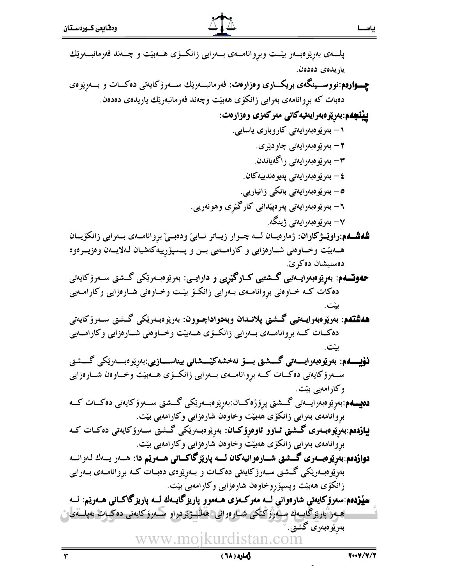$\frac{1}{r}$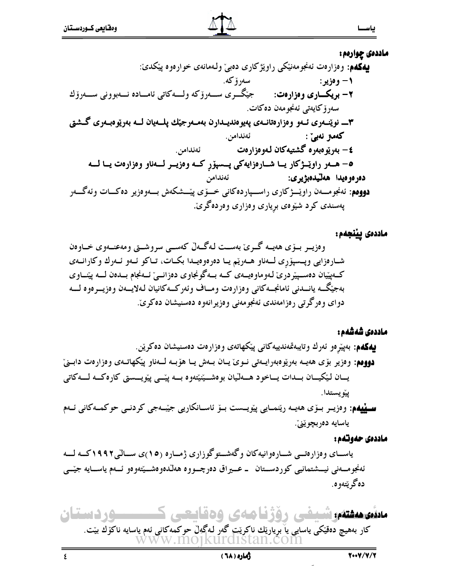ماددهۍ چوارهم:

## ماددەى پيْنجەم:

### ماددەى شەشەم :

#### ماددەى حەوتەم:

یاســای وەزارەتــی شــارەوانيەكان وگەشــتوگوزاری ژمــارە (١٥)ى ســالىي١٩٩٢كــە لـــە ئەنجومــەنى نيــشتمانيى كوردســتان ـ عــيراق دەرچــووە ھەلّدەوەشــيّتەوەو ئــەم ياســايە جيّــى دەگرېتەوە.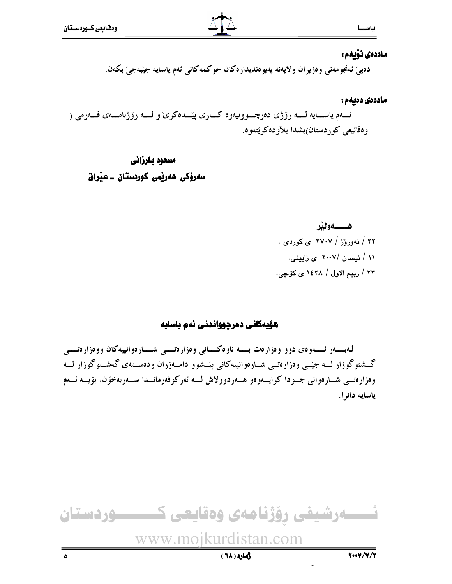#### ماددەى نۆيەم :

دەبىّ ئەنجومەنى وەزيران ولايەنە پەيوەنديدارەكان حوكمەكانى ئەم ياسايە جيّبەجىّ بكەن.

#### ماددەى دەبەم :

ئـــهم پاســــايه لــــه رۆژى دەرچـــوونيەوە كـــارى پێـــدەكرىٰ و لــــه رۆژنامــــەى فـــەرمى ( و دقائيعي کو ردستان)پشدا بلاّوددکو پُتهوه.

## مسعود بارزاني سەرۆكى ھەربىي كوردستان ــ عيراق

#### هــــــهونند

۲۲ / نهوروز / ۲۷۰۷ ی کوردی . ۱۱ / نیسان /۲۰۰۷ ی زایینی. ٢٣ / ربيع الاول / ١٤٢٨ ي كۆچى.

#### - هۆپەكانى دەرچوواندنى ئەم ياسايە -

له بسه د ئسسهو وي دو و وه دار دت بسسه ناو ه كسياني و درار دتسيې شسيار دو انپيه كان وو درار دتسيې گشتوگوزار لــه جێبی وهزارهتــی شــارهوانییهکانی پێــشوو دامــهزران ودهســتهی گهشــتوگوزار لــه وەزارەتــى شــارەوانى جــودا كرايــەوەو ھــەردوولاش لـــە ئەركوفەرمانــدا ســەربەخۆن، بۆيــە ئــەم ياسايه دانوا.

نسسەرشيفى رۆژنامەى وەقايعى كىسسسوردستان www.moikurdistan.com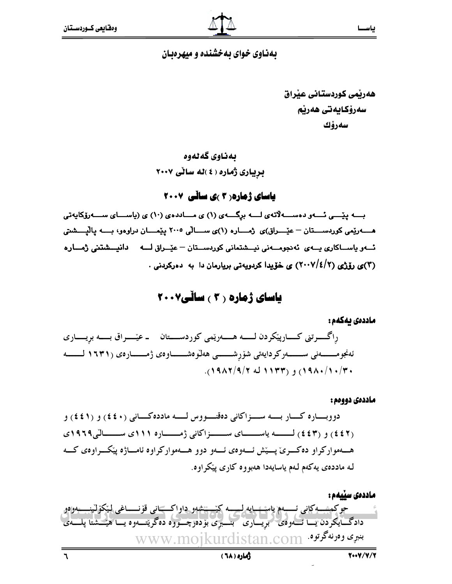## بهناوی خوای بهخشنده و میهرهبان

هەرتمى كوردستانى عنراق سەرۆكايەتى ھەرنم سەرۆك

## بەناوي گەلەوە

بریاری ژماره ( ٤ )له سائی ٢٠٠٧

### **یاسای ژماره ( ۲ )ی سانّی ۲۰۰۷**

بـــه ییّـــی ئــــهو دهســــه لاّتهی لــــه برگــــهی (۱) ی مـــاددهی (۱۰) ی (یاســـای ســــهرزکایهتی ئـــو باســاكارى بـــوى ئەدجومـــونى نيـــشتمانى كورىســتان – عيّــراق لــــه دانيـــشتنى ژمـــار ه (۳)ی رۆژی (۲/٤/۲) ی خۆپدا کردویەتی بریارمان دا به دەرکردنی .

## **یاسای ژماره ( ۳ ) سانی۲۰۰۷**

#### ماددەى ئەكەم :

راگـــــــرتني كــــــارپێكردن لـــــــه هــــــهرێمي كوردســـــتان ــ عێــــــراق بــــــه بريــــــاري ئەنجومــــــــەنى ســـــــــەركردايەتى شۆرشـــــــى ھەلّـوەشـــــــاوەى ژمـــــــارەى (١٦٣١ لـــــــــە  $(19\lambda Y/9/Y \Delta Y)Y(Y)$ ,  $(19\lambda Y)Y(Y)$ 

#### ماددەى دووەم :

دووبساره کسار بسه سسزاکانی دهقسووس لسه مادده کسانی (٤٤٠) و (٤٤١) و (٤٤٢) و (٤٤٣) لـــــه پاســـــای ســــزاکانی ژمــــاره ١١١ای ســــالّی١٩٦٩، هسهموار کراو ده کسری ٌ پسیّش ئسهوهی ئسهو دوو هسهموار کراوه ئامساژه پیکسراوهی کسه لـه مادده یی په کهم لـهم پاسایهدا ههبو و ه کاری پیکر او ه.



رهاره ( ٦٨)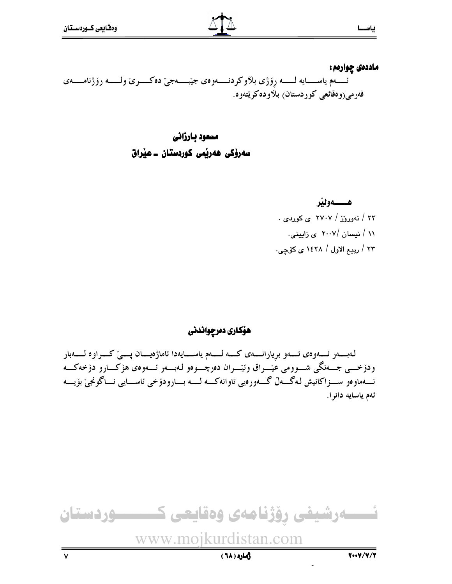ماددەى چوارەم : ئـــــهم ياســــــايه لـــــــه رۆژى بلاوكردنــــــهوەي جيّبــــــهجيّ دەكــــــرىّ ولــــــه رۆژنامـــــهي فەرمى(وەقائعى كوردستان) بلاودەكرېيتەوە.

> مسعود بارزانى سەرۆكى ھەرپمى كوردستان ـ عيراق

> > هـــــــهونير ۲۲ / نهوروْز / ۲۷۰۷ ی کوردی . ۱۱ / نیسان /۲۰۰۷ ی زایینی. ٢٣ / ربيع الاول / ١٤٢٨ ي كۆچى.

هۆكارى دەرچواندنى

لـهبــــــهر ئــــــهوهى ئــــــهو برِيارانـــــهى كـــــه لــــــهم ياســــايهدا ئاماژهيـــــان پــــيّ كــــراوه لـــــــهبار ودۆخـــي جــــەنگى شـــوومى عێـــراق وئێـــران دەرچـــوەو لـەبــــەر ئــــەوەى ھۆكـــارو دۆخەكـــە نــــهماوەو ســــزاكانيش لـهگــــهلّ گــــهورەيي تاوانهكــــه لـــــه بــــارودۆخى ئاســــايي نــــاگونجيّ بۆيــــه ئەم ياسايە دانرا.

ئــــــەرشيفى رۆژنامەى وەقايعى كـــــــــوردستان www.mojkurdistan.com

زهاره ( ٦٨)

 $\mathsf{v}$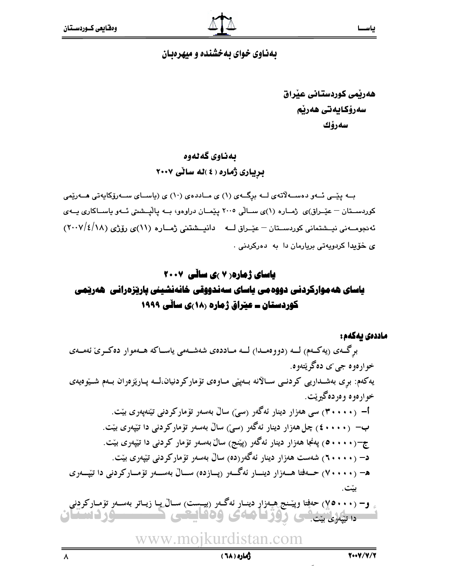#### بهناوی خوای به خشنده و میهرهبان

هەرنمى كوردستانى عنراق سەرۆكايەتى ھەرنم سەرۆك

#### بەناوي گەلەوە

بریباری ژماره ( ٤ )له سالی ٢٠٠٧

بــه یێــی ئــهو دهســهلاّتهى لــه برگــهى (۱) ی مــاددهى (۱۰) ی (یاســای ســهرۆکاپهتی هــهرێمی کوردستان – عٽِـراق)ي ژمــاره (١)ي ســالّي ٢٠٠٥ پٽِمــان دراوهو، بــه پالٽيــشتي ئــهو پاســاکاري پــهي ئەنجومــەنى نيــشتمانى كوردســتان – عيّــراق لـــه دانيــشتنى ژمــاره (١١)ى رۆژى (١٨/٤/١٨) ى خۆيدا كردويەتى بريارمان دا بە دەركردنى .

### **یاسای ژماره ( ۷ )ی سائی ۲۰۰۷**

## یاسای هه موارکردنی دووه می یاسای سەندووقی خانەنشینی پاریزدرانی هەریمی کوردستان = عیّراق ژماره (۱۸)ی سالّی ۱۹۹۹

ماددەى يەكەم :

برگ۵ی (پهکمم) لــه (دووهمــدا) لــه مــاددهی شهشــهمی پاســاکه هــهموار دهکــری نَهمــهی خوارهوه جي ٻي ده گر پُتهوه. یهکهم: بری بهشـداریی کردنـی سـالانه بـهییی مـاوهی تۆمارکردنیان،لــه یـاریز ەران بــهم شـیوّهیهی خوارهوه وهږدهگیریّت. أ– (۲۰۰۰۰) سی هەزار دینار ئەگەر (سیؒ) سالٌ بەسەر تۆمارکردنی تێنەپەری بێت. ب— (٤٠٠٠٠) چل هەزار دينار ئەگەر (سى) سالٌ بەسەر تۆماركردنى دا تێيەرى بێت. ج–(١٠٠٠ه) پهنجا ههزار دينار ئهگهر (پێنج) سالٌ بهسهر تۆمار كردني دا تێيەرى بێت. د– (۲۰۰۰۰) شەست ھەزار دینار ئەگەر(دە) سالٌ بەسەر تۆماركردنى تێيەرى بێت. ه– (۷۰۰۰۰) حــهفتا هـــهزار دینـــار ئهگـــهر (پـــازده) ســـالٌ بهســـهر تۆمـــارکردنی دا تێپـــهری بێت. و− (۷۰۰۰) حەفتا وپێـنـج هـپـەزاړ دينــار ئەگــەر (بيــېست) ســاڵ\_يــا زيــاتر بەســەر تۆمــاركردنبي

د تیره بن یک روز امامی وه قایعی ک www.mojkurdistan.com

**سورد دستان**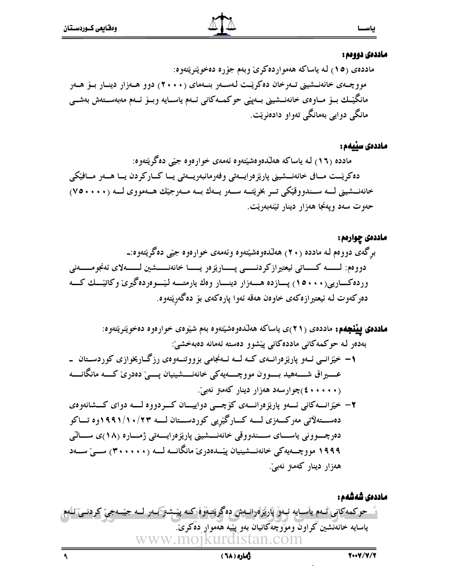$\overline{\mathcal{A}}$ 

#### ماددەى دووەم :

 - &=!5- &! --
-\_QU^!! -33 3=! -3!\_Rddd^-3= -3
-3&!-3,\'/3--3? 3+- 8- 3
- --33 -3
-3-3#M'9-3 \'/3-33 O3'6 ) &! ! -,6- !6

#### ماددەى سێيەم :

 - &B!'5 --- '+@X--
-\_QV^!! .'J33-3333!&3333,-33--J,-33 79\'/33r3333&! \_WUdddd^-33-33O'5-33-33 ;-33-33
-33 &s&33,.'a@=33
-33\'/33- M ) - -=',=! -0-9!-\*-

#### ماددەى چوارەم :

3 - &B!'5 --- '+@X-\_Rd^!!-!-B2& -33330-H-33334/3333-33337333393333!& L c',3333-3333! -333O333',LB!333'-333 ;333=! -333!3339\_QUddd^333! ) - 2-B! -9 -a-- L c'-\*-!

 - &=! '+- - '+@X-- RQ\_ ^!!769(&:!- /- !--- 
!/'9!!-#M-!- 3 3
! t3B-3=,7 0-3-3-3-3 79-33 7' \$Q -3336-333!!3339'='/333---333?333 @'-333+% L333( ) -Y-=! -!- ?\_Tddddd^ -/33 !-33!&3333' !33?-33 79-33-33 7' \$R 33,Q``Q Qde RSe -33 33
!2&'B33-33-33-,G- 33
! X333 Qf\_ ^333E,-333 79\'/333a@=333
333
333?! !-33
33
\_Sddddd^-33-336!@33'9'='/33---33?Q``` ) -Y-=! -


- www.mojkurdistan.com 76;;!- -33!&5-3'5-3-3 Y/3'9-3-3 &B!8-3 79-3-3
-3-#M ) &! --''9- '-? &4/--

#### أثماره (٦٨)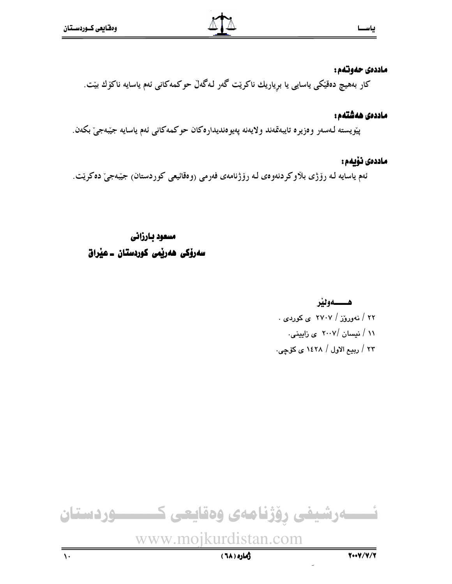#### ماددەى حەوتتەم :

كار بەھيچ دەقێكى ياسايى يا بړياريك ناكرێت گەر لـەگەڵ حوكمەكانى ئەم ياسايە ناكۆك بێت.

#### ماددەى ھەشتەم :

پيْوِيسته لـهسهر وەزيرە تايبەتمەند ولايەنە پەيوەنديدارەكان حوكمەكانى ئەم ياسايە جيْبەجىْ بكەن.

#### ماددەى نۆيەم :

ئەم ياسايە لـه رۆژى بلاوكردنەوەي لـه رۆژنامەي فەرمى (وەقائيعى كوردستان) جيّبەجى دەكريّت.

## مسعود بارزانى سەرۆكى ھەربىي كوردستان ـ عيراق

ھـــــەوننر ۲۲ / نهوروز / ۲۷۰۷ ی کوردی . ۱۱ / نیسان /۲۰۰۷ ی زایینی. ٢٣ / ربيع الاول / ١٤٢٨ ي كۆچى.

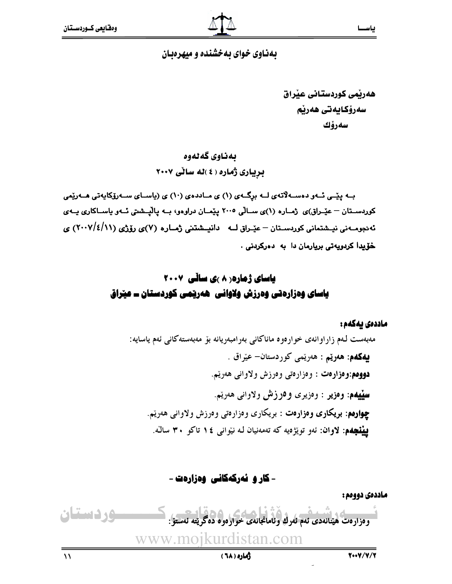#### بهناوی خوای بهخشنده و میهرهبان

هەرتمى كوردستانى عنراق سەرۆكايەتى ھەرنم سەرۆك

بەناوي گەلەوە بریباری ژماره ( ٤ )له سالی ٢٠٠٧

بــه ییّــی ئــهو دهســهلاّتهی لــه برگــهی (۱) ی مــاددهی (۱۰) ی (یاســای ســهروّکایهتی هــهریِّمی کوردسـتان – عێـراق)ی ژمـاره (۱)ی سـالّی ۲۰۰۵ یێمـان دراوهو، بــه یالّیــشتی ئــهو یاســاکاری یــهی ئەدجومــەنى نيــشتمانى كوردسـتان – عێـراق لـــه دانيــشتنى ژمــاره (۷)ى رۆژى (۱۱/٤/۱۱) ي خۆيدا كردويەتى بريارمان دا بە دەركردنى .

## **یاسای ژماره ( ۸ )ی ساڵی ۲۰۰۷** یاسای وهزارهتی وهرزش ولاوانی ههریمی کوردستان ــ عیراق

#### ماددەى يەكەم :

مهبهست لـهم زاراوانهي خواردوه ماناكاني بهرامبهريانه بۆ مەبەستەكانى ئەم ياسايە: **يەكەم: ھەرێم :** ھەرێمى كوردستان- عێراق . **دووهم:وەزارەت :** وەزارەتى وەرزش ولاوانى ھەريم. **سٽيهم: وهزير : وهزيري و 9رزش ولاواني ه**هريم. **چوارهم: بریکاری وهزارهت :** بریکاری وهزارهتی وهرزش ولاوانی ههریم. **بینشجهم: لاوان**: ئەو توپژەيە كە تەمەنيان لـه نیوانبى ١٤ تاكو ٣٠ سالـْه.

- کار و نهرکهکانی وهزارهت -

ماددهی دوومم :

$$
\frac{1}{2}
$$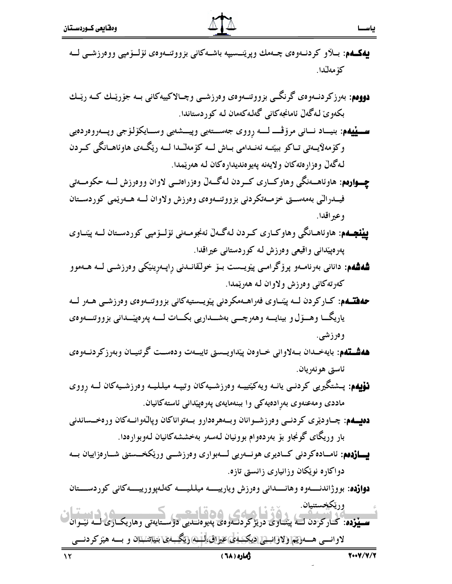- **یهگـهم**: بــلاو کردنــهوهى چــهمك وپرێنــسيپه باشــهکانى بزووتنــهوهى ئۆلــۆمپى ووەرزشــى لـــه كۆمەلّدا.
- **دوومم**: بەرزكردنــەوەي گرنگــي بزووتنــەوەي وەرزشــي وچــالاكييەكانى بــە جۆرێـك كــە رێـك ڊ بكەوێ لـەگەڵ ئامانجەكانى گەلـەكەمان لـە كوردستاندا.
- **ســـيْيهم:** بنيـــاد نـــانى مرۆڤــــ لــــه رِووى جەســـتەيى وپيـــشەيى وســـايكۆلۆجى وپـــەروەردەيى وکۆمەلايىەتى تـاکو بېيّتــە ئەنــدامى بــاش لـــە کۆمەلــْـدا لـــە ريْكَــەى ھاوئاھــانگى كــردن لەگەلْ وەزارەتەكان ولايەنە پەيوەنديدارەكان لە ھەرێمدا.
- **چــوارەم**: ھاوئاھــەنگى وھاوكـــارى كـــردن لـەگـــەڵ وەزراەتـــى لاوان ووەرزش لــــە حكومـــەتى فیــدرالّی بهمهســق خزمــهتکردنی بزووتنــهوهی وهرزش ولاوان لـــه هــهریّمی کوردســتان ڊ وعير اقدا.
- **پِیْنْجِــهم**: هاوئاهــانگی وهاوکــاری کــردن لـهگــهلٌ ئهنجومــهنی ئۆلــۆمپی کوردســتان لـــه پی٘نـــاوی ەرەپێدانى واقيعى وەرزش لـه كوردستانى عيراقدا. إ
- **شەشەم:** دانانى بەرنامـەو پرۆگرامـى پێويــست بــۆ خولقانــدنى ڕاپــەڕينێكى وەرزشــى لــە ھــەموو ڊ كەرتەكانى وەرزش ولاوان لە ھەرێمدا.
- حهفتــهم: کــارکردن لـــه پێــاوی فەراھـــەمکردنى پێويـــستيەکانى بزووتنـــەوەی وەرزشــى هــەر لـــه یاریگـــا وهـــۆل و بینایــــه وههرچــــی بهشــــداریی بکـــات لـــــه پهرەپێـــدانی بزووتنــــهوه، ڔ وەرزشى.
- **ههشـتهم**: بايهخـدان بــهلاواني خــاوەن پێداويــستى تايبــهت ودەســت گرتنيــان وبەرزكردنــەوەى ڊ ئاستى ھونەريان.
- **نۆيەم**: پـشتگيريى كردنـى يانــه ويەكێتييــه وەرزشــيەكان وتيپــه ميلـليــه وەرزشــيەكان لـــه رِووى ماددی ومهعنهوی بهرِادهیهکی وا ببنهمایهی پهرهپێدانی ئاستهکانیان. ڔ
- **دەيــەم**: چــاودێرى كردنــى وەرزشــوانان وبــەهرەدارو بــەتواناكان وپالّـەوانــەكان ورەخــساندنى بار وریگای گونجاو بۆ بەردەوام بوونیان لەسەر بەخششەكانیان لەوبوارەدا. ڊ ڊ
- **يـــازدەم**: ئامــادەكردنى كــاديرى هونـــەريى لــــەبوارى وەرزشـــى ورێكخـــستنى شـــارەزاييان بـــە دواكاره نويْكان وزانياري زانستي تازه.

**دوازده**: بووژاندنـــــهوه وهانـــــداني وەرزش ويارييــــــه ميلـليــــــه كەلـهپوورييـــــهكاني كوردســــتان

تحصیل در سیستان کار کردند کے مطابق کی میں تحصیل کے استعمال کرنے کے استعمال کرنے کے استعمال کرنے کے اس کے اس کے<br>اسس**ینزدہ**: کارکزدن کے پینیاوی دریژ کردندوہی پیلیوہنسلی دوستایەتی وہاریک ری لے نینوان لاوانسی هــه<u>(تیم (لاوانستی ادیک ه<sup>یلی</sup>)عیراق، آبسی (تیگ</u>ــهی بنی<sub>ل</sub>اننتهان و بـــه هیز کردنــــی <u>وريکخستنيان </u>

#### وهاره ( ٦٨ )

\*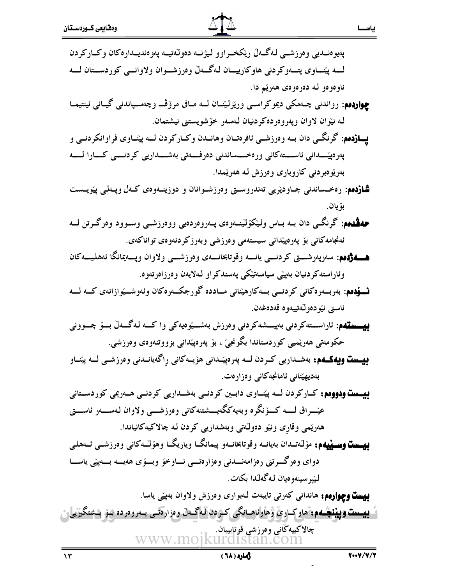| پەيوەنــديى وەرزشــى لـەگــەلّ رێكخــراوو ليژنــە دەولّەتيــە پەوەنديــدارەكان وكــاركردن                    |
|--------------------------------------------------------------------------------------------------------------|
| لـــه پێنـــاوى پتـــهوكردنى هاوكارييـــان لـهگـــهڵ وەرزشـــوان ولاوانـــى كوردىســتان لــــه               |
| ناوەوەو لە دەرەوەى ھەرێم دا.                                                                                 |
| <b>چواردەم</b> : رواندنى چـەمكى ديموكراسـى ورێزلێنـان لــه مـافى مرۆڤــ وچەسـپاندنى گيـانى ئينتيمـا          |
| لە نێوان لاوان وپەروەردەكردنيان لەسەر خۆشويستنى نيشتمان.                                                     |
| <b>پــازدهم</b> : گرنگــي دان بــه وهرزشــي ئافرهتــان وهانــدن وكــاركردن لــه پێنــاوي فراوانكردنــي و     |
| پەرەپێـــدانى ئاســـتەكانى ورەخــــساندنى دەرفــــەتى بەشــــداريى كردنــــى كــــارا لـــــە                |
| بەرێوەبردنى كاروبارى وەرزش لـه ھەرێمدا.                                                                      |
| <b>شازدهم</b> : رەخـساندنى چـاودێريى تەندروسـتى وەرزشـوانان و دوزينـەوەى كـەل وپـەلى پێويــست                |
| بۆيان.                                                                                                       |
| <b>حهڤدهم</b> : گرنگـی دان بـه بـاس ولێکۆلێنـهوهۍ پـهروهردهیی ووهرزشـی وسـوود وهرگـرتن لــه                  |
| ئەنجامەكانى بۆ پەرەپێدانى سيستەمى وەرزشى وبەرزكردنەوەى تواناكەى.                                             |
| هـــهۋەم، سەرپەرشـــتى كردنـــي يانــــه وقوتابخانــــهى وەرزشــــي ولاوان وپـــەيمانگا ئەھليـــەكان         |
| وئاراستەكردنيان بەپێى سياسەتێكى پەسندكراو لەلايەن وەرزاەرتەوە.                                               |
| <b>نــــۆدەم</b> : بەربـــەرەكانى كردنـــى بـــەكارهێنانى مــاددە گورجكــەرەكان وئەوشـــێوازانەي كـــە لـــە |
| ئاستى نێودەوڵەتييەوە قەدەغەن.                                                                                |
| <b>بیستهم</b> : ئاراســتەکردنى بەپيـــشەکردنى وەرزش بەشـــێوەیەکى واكـــە لـەگـــەلّ بـــۆ چـــوونى          |
| حکومەتى ھەرێميى کوردستاندا بگونجىٚ ، بۆ پەرەپێدانى بزووتنەوەي وەرزشى.                                        |

**بیست ویهکـهم:** بهشـداریی کـردن لــه پهرهپێـدانی هۆیــهکانی رِاگهیانــدنی وهرزشــی لـــه پێنــاو بەديھينانى ئامانجەكانى وەزارەت.

بیست ودووهم: کارکردن لــه پیّنــاوی دابــین کردنــی بهشــداریی کردنــی هــهریمی کوردســتانی عێـــراق لــــه کـــۆنگره وبەيەكگەيـــشتنەكانى وەرزشــــې ولاوان لـەســـەر ئاســــق هەرێمى وقارٍى ونێو دەوڵەتى وبەشدارىي كردن لە چالاكيەكانياندا.

**بیست وسینیهم:** مۆلـْەتـىدان بەيانــە وقوتابخانــەو پيمانگــا وياريگــا وهۆلــْـەكانى وەرزشــى ئــەھلـى دواي وەرگـــرتني رەزامەنـــدنى وەزارەتـــي نـــاوخۆ وبـــۆي هەيــــە بـــەيێي ياســـا ليپرسينەوەيان لەگەلىدا بكات.

**بِيست وچوارەم:** هاندانى كەرتى تايبەت لـەبوارى وەرزش ولاوان بەپێى ياسا. **بيست ويبنېممې** هاوکاري ۋهاولناهــانگي کـردن لـهگــهل وەزارەتــي پــەروەردە بىنو پــشتگيريلي، چالاكييەڭانى وەرزشى قوتابييان. www.moikur

ياســا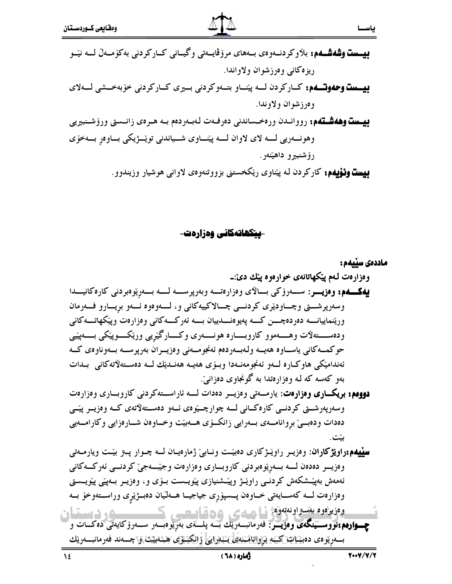ريزه كاني وەرزشوان ولاواندا.

**دیست وحدوت په د** کبار کردن لسه پینساو بتبهو کردنی بسیری کبار کردنی خوّ به *خسشی* لسهلای وەرزشوان ولاوندا.

وهونــــەریی لـــــه لای لاوان لـــــه پێنــــاوی شــــیاندنی توێـــژیکی بـــاوەر بــــهخۆی رۆشنېيرو داهينهن.

**بِيست ونوْيِهم:** كاركردن لـه پيّناوي ريّكخستني بزووتنهوهي لاواني هوشيار وزيندوو.

<u>-سکھاتەکانى وەزارەت-</u>

ماددەى سىيەم :

وسەرپەرشىتى كردنىي كارەكـانى لــە چوارچـێوەي ئــەو دەســتەلاتەي كــە وەزيــر پێــې دهدات ودهبے بروانامــهى بــهرايى زانكــۆى هـــهييّت وخــاوهن شــارەزايى وكارامــهيى بيّت.

**سیّیهم:راویژکاران**: وەزیـر راوێـژکاری دەبیّـت ونـابیّ ژمارەیــان لــه چــوار پــتز بیّـت ویارمــهتی وەزيــر دەدەن لــــه بـــەريوەبردنى كاروبـــارى وەزارەت وجيّبـــهجيّ كردنـــى ئەركـــەكانى ئەمەش بەيێشكەش كردنــى راوێـژ وپێـشنيازى پێويــست بــۆي و، وەزيــر بــەپێي پێويــستي وەزارەت لــه كەسـايەتى خـاوەن پــسپۆرى جياجيــا هــەلىيان دەبــژێرى وراســتەوخۆ بــە وەزيرەوە بەستراونەتەرە: سامت ، ھەقساسىسى م، دستان

**چــوارەم:نووســينگەی وەزيــر: ف**ەرمانبــەرێك بــە پلـــةى بەرێوەبــەر ســەرۆكايەتى دەكــات و بسەريوەي دە<u>بىياتتىكىمە براوانامىمايى، بەرايى</u> زانكىتۆي ھېتەبىبى . جسەند فەرمانبىمريك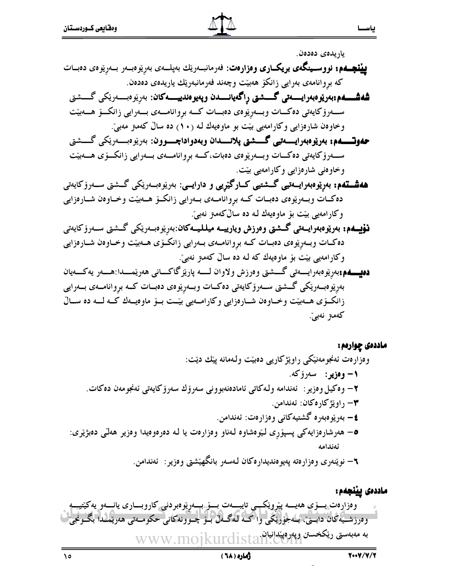

ياريدەي دەدەن.

- **پِینْجِــهم: نووســینگەی بریکــاری وەزارەت**: فەرمانبــەرێك بەپلــەی بە<sub>رِ</sub>ێوەبــەر بــەرپۆوەی دەبــات ڊ ڊ که بړوانامەی بەرايى زانکۆ ھەبێت وچەند فەرمانبەرێك ياريدەی دەدەن. ڊ
	- **شەشــــەم:بەرێوەبەرايـــــەتى گــــــشتى رِاگەيانـــــدن وپەيوەندييـــــەكان**: بەرێوەبــــەرێكى گـــــشتى ڊ  $\ddot{\cdot}$  $\ddot{\cdot}$ ســـهرۆكايەتى دەكـــات وبـــەرِيْوەى دەبـــات كــــە برِوانامــــەى بـــەرايى زانكـــۆ ھـــەبيّت وخاوهن شارەزایی وکارامەیی بیّت بو ماوەیەك لـه (١٠) ده سالٌ كەمىز مەبیّ.
	- /333B.-333 -333? ! !- @333C9/333B',-333 --76.< ڊ  $\ddot{\cdot}$  $\ddot{\cdot}$  $\ddot{\phantom{0}}$ ســـهرۆكايەتى دەكـــات وبـــەرێوەى دەبات،كـــە بږوانامـــەى بـــەرايى زانكـــۆى هـــەبێت وخاوەنى شارەزايى وكارامەيى بێت.
- **هەشــتەم: بەرێوەبەرايــەتىي گـــشتىيى كـــارگێڕيى و دارايـــى**: بەرێوەبــەرێكى گـــشتى ســەرۆكايەتى ڊ  $\ddot{\bm{z}}$  $\ddot{\cdot}$ دەكــات وبــەرێوەى دەبــات كــه بړوانامـــەى بــەرايى زانكــۆ هـــەبێت وخــاوەن شـــارەزايى وکارامەیی بیّت بۆ ماوەيەك لـه دە سالٌکەمىز نەبی٘.
- **نۆيــەم: بەريوەبەرايــەتى گــشتى وەرزش ويارييــە ميلليــەكان**:بەرپوەبــەريكى گــشتى ســەرۆكايەتى ڊ ļ ļ دهکـات وبــهرِیوهی دهبــات کــه برِوانامــهی بــهرایی زانکــوّی هــهبیّت وخــاوهن شــارهزایی وکارامەیی بێت بۆ ماوەیەك کە لـە دە سالْ کەمىز نەبىْ.
- **دەيــــەم:**بەرێوەبەرايــــەتى گــــشتى وەرزش ولاوان لـــــە پارێزگاكــــانى ھەرێمــــدا:ھــــەر يەكــــەيان ڊ ڊ ەرِيْوەبــەرێكى گـــشتى ســەرۆكايەتى دەكــات وبــەرِيْوەى دەبــات كــە برِوانامــەى بــەرايى ڊ زانکــۆی هـــهییّت وخــاوەن شــارەزایی وکارامـــهیی بیّــت بــوّ ماوەیـــەك کــه لـــه ده ســالّ كەمىز نەبىٚ.

#### ماددەى چوارەم :

! O'9--' !1 .'-0-\* ) -:-&\$Q ) \*!-0-,-:-;:- -!,-- @-&>'\$R ) I @-1 \$S ) I @-\* -' /B- - \$T &1 !X-& @!-\* -+'2N<9- +-\$U - @-

) I @-&/'F6 -- @@-9-, -=\$V


- www.mojkurdistan.com 769(&:!- -33' '--3333 !& 2-33 33 \*-33,33.2&'9-33-33 \* 036 @3#-,-3.M-3?3 A-3B--3 .5-3 \3 !-'3+ )' @'9-9y<K.
- --

دهاره ( ٦٨ )

 $\lambda$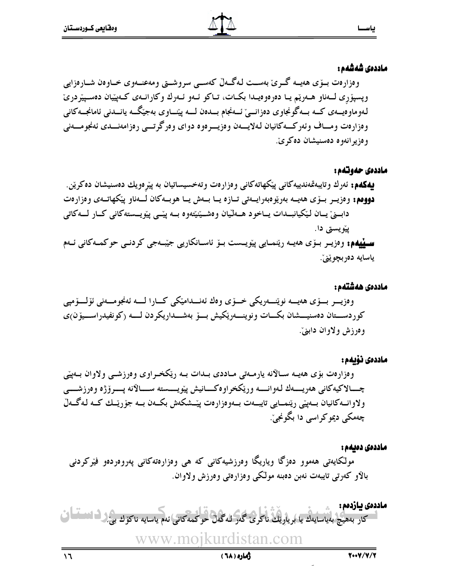#### ماددەى شەشەم :

وهزارەت بىۆى ھەيسە گىرى بەسىت لەگىەلْ كەسىي سروشىتى ومەعنىەوي خىاوەن شىارەزايى وپسپۆرى لــهناو هــهريم يــا دەرەوەيــدا بكــات، تــاكو ئــهو ئــهرك وكارانــهى كــهپيّيان دەســپيّردرىّ لەوماوەيـــەي كـــە بـــەگونجاوي دەزانـــيّ ئـــەنجام بـــدەن لــــە پێنـــاوي بەجێگــە يانـــدنى ئامانجـــەكانى وهزارهت ومساف وئهركسهكانيان لهلايسهن وهزيسرهوه دواي وهرگرتسي رهزامهنسدي ئهنجومسهني وەزيرانەوە دەسنيشان دەكرىّ.

#### ماددەى حەوتەم:

#### ماددەى ھەشتەم :

#### ماددەى نۆىمە:

وهزارەت بۆی هەپــه ســالانه يارمــەتى مــاددی بــدات بــه رێکخــراوی وەرزشــی ولاوان بــەيێی چـــالاكيەكانى هەريــــەك لـەوانـــــە وريكخراوەكــــانيش پيويـــــسته ســــالانه پــــرۆژە وەرزشــــى ولاوانــهكانيان بـــهييّى ريّنمـــايي تايبـــهت بـــهوهزارهت پيّـــشكهش بكـــهن بـــه جۆرپّــك كــه لـهگـــهلّ چەمكى ديمو كراسى دا بگونجىّ.

ماددەى دەىمە : مولکایەتی ھەموو دەزگا وياريگا وەرزشيەکانی کە ھی وەزارەتەکانی پەروەردەو فیرکردنی بالاو کهرتی تایبهت نهبن دهبنه مولکی وهزارهتی وهرزش ولاوان.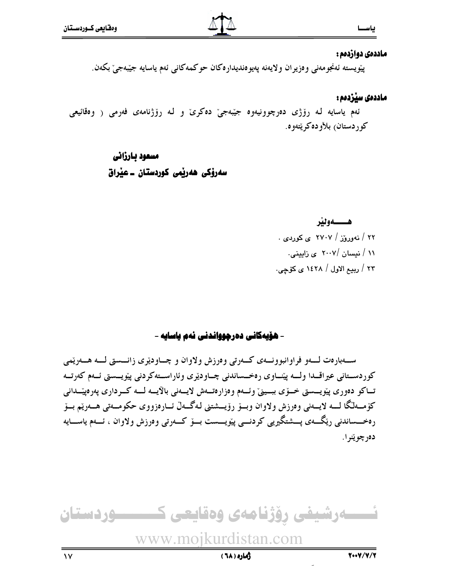#### ماددەى دوازدەم :

پێویسته ئەنجومەنی وەزیران ولایەنە پەیوەندیدارەكان حوكمەكانی ئەم یاسایە جێبەجیٚ بكەن.

#### ماددەى سێر٘دەم :

ئهم ياسايه لـه رۆژى دەرچوونيەوە جيّبەجىّ دەكرىّ و لـه رۆژنامەى فەرمى ( وەقائيعى كوردستان<sub>)</sub> بلأودەكرێتەوە.

## مسعود بارزانی سەرۆكى ھەر<u>ئ</u>مى كوردستان ـ عيراق

#### هـــــهونير

۲۲ / نهوروْز / ۲۷۰۷ ی کوردی . ۱۱ / نیسان /۲۰۰۷ ی زایینی. ۲۳ / ربیع الاول / ۱٤۲۸ ی کۆچی.

#### - هۆيەكانى دەرچوواندنى نەم ياسايە -

ســهبارەت لــــهو فراوانبوونـــهى كـــهرتى وەرزش ولاوان و چــاودێرى زانـــستى لـــه هــــهرێمى كوردسـتاني عيراقــدا ولـــه پێنــاوى رەخــساندنى چــاودێرى وئاراســتەكردنى پێويــستى ئــهم كەرتــه تــاکو دەورى پێويـــستى خــۆى ببــينى وئـــەم وەزارەتــەش لايــەنى بالايـــە لـــە کـــردارى پەرەپێــدانى كۆمـەلگا لـــه لايـــەنى وەرزش ولاوان وبـــۆ رۆيـــشتنى لـەگـــەلْ ئـــارەزووى حكومـــەتى هـــەريْم بـــۆ رەخـــساندنى رێگــــەي پـــشتگيريى كردنــــى پێويــــست بـــۆ كـــەرتى وەرزش ولاوان ، ئـــەم ياســــايە دەرچوپنرا.

ئــــــەرشيفى رِۆژنامەى وەقايعى كــــــــــوردستان www.mojkurdistan.com --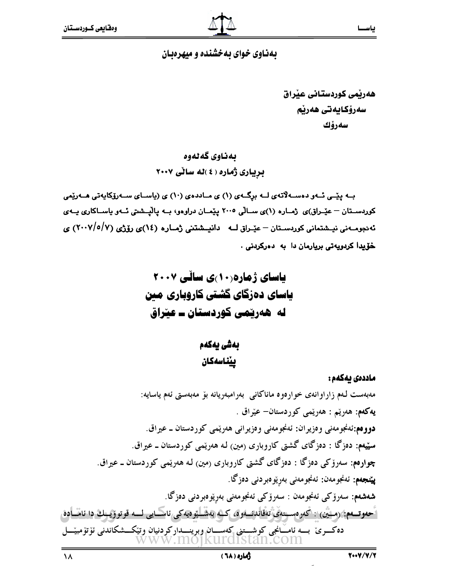#### بهناوی خوای به خشنده و میهرهبان

هەرنمى كوردستانى عنراق سەرۆكايەتى ھەرنم سەرۆك

## بەناوي گەلەوە بریباری ژماره ( ٤ )له سالی ٢٠٠٧

بــه یێــی ئــهو دهســهلاّتهی لــه برگــهی (۱) ی مــاددهی (۱۰) ی (یاســای ســهرزکایهتی هــهریّمی کوردسـتان – عێـراق)ی ژمـاره (۱)ی سـالّی ۲۰۰۵ پێمـان دراوهو، بــه پاليــشتی ئــهو ياســاکاری يــهی ئەنجومــەنى نيــشتمانى كوردســتان – عيّــراق لـــه دانيــشتنى ژمــارە (١٤)ى رۆژى (٢٠٠٧/٥/٧) ى خۆيدا كردويەتى بريارمان دا بە دەركردنى .

بەشى يەكەم ييناسەكان

ماددەى يەكەم :

مەبەست لەم زاراوانەي خوارەوە ماناكانى بەرامبەريانە بۆ مەبەستى ئەم ياسايە: پهکهم: هەريىم : هەريىمى کوردستان- عيراق . دووهم:ئەنجومەنى وەزيران: ئەنجومەنى وەزيرانى ھەرپىمى كوردستان ــ عيراق. سټيهم: دهزگا : دهزگاي گشتي کاروباري (مين) لـه ههريمي کوردستان ــ عيراق. چوارهم: سەرۆكى دەزگا : دەزگاي گشتى كاروبارى (مين) لـه هەرپىمى كوردستان ــ عيراق. **پينجهم:** ئەنجومەن: ئەنجومەنى بەريوەبردنى دەزگا. **شەشەم:** سەرۆكى ئەنجومەن : سەرۆكى ئەنجومەنى بەرێوەبردنى دەزگا. <sup>ء</sup>َحەوتــــەم: (مـــثْين) : أكەرەســتەي تەقابدىسەوە، كــدە بەشــلـێوەيەكى ئاســايى لــــە قوتوۆيــىك دا ئامـــادە، دەكـــرى بــــە ئامـــانجى كوشـــتنى كەســـان وبرينــــداركردنيان وتێكـــشكاندنى ئۆتۆمبێـــل

 $\lambda$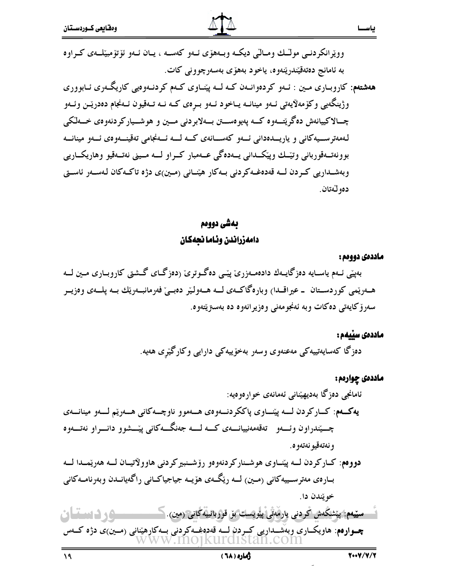وويرانکردنے مولـّـك ومـالّـي ديكـه وبـههوّ ي ئـهو كهسـه ، پـان ئـهو ئوّتوْمبيّلـهي كـراوه به ئامانج دەتەقپندرپنەوە، ياخود بەھۆپ بەسەرچوونى كات.

بەشى دووەم دامەزراندن وئاما نحەكان

ماددەى دوومم :

ياسحا

بەيپى ئــهم ياســايە دەزگايــەك دادەمــەزرى ييّــى دەگــوترى (دەزگــاي گــشتى كاروبــارى مــين لـــە هـــهرينمي كوردســتان ــ عيراقــدا) وبارەگاكـــهي لـــه هـــهولـيْر دەبـــيْ فەرمانبـــەريّك بـــه يلــــهي وەزيــر سەرۆكايەتى دەكات وبە ئەنجومەنى وەزيرانەوە دە بەسترپتەوە.

#### ماددەى سێيەم :

دەزگا كەسايەتييەكى مەعنەوي وسەر بەخۆييەكى دارايى وكارگێرى ھەيە.

## ماددهي چوارمم: ئامانجى دەزگا بەديھێنانى ئەمانەى خوارەوەيە: يەكــەم: كــاركردن لــــه پێنـــاوي پاككردنـــهوهي هـــهموو ناوچـــهكاني هـــهرێم لـــهو مينانـــهي چسپندراون وئسهو تهقهمهنیپانسهی کسه لسه جهنگسهکانی پیششوو دانسراو نهتسهوه و نەتەقيو نەتەو د. دووهم: کپارکردن لبه پيّنساوي هوشـنارکردنهوهو رۆشـنبيرکردنې هاوولاتيسان لسه ههريمسدا لسه بــارەي مەترســييەكانى (مــين) لـــه رێگــهي هۆپــه جياجياكــانى راگەيانــدن وبەرنامــەكانى خويندن دا. سپیمم: پیشگەش كردنى يارھەتى پلويست بۆ قوربانىيەگانى (مين).كىس ــــوردستان چــوارەم: هاويكـــارى وبەشـــداريى كــِـردن لـــه قەدەغـــەكردنى بـــهكارهيّنانى (مــين)ى دژه كـــهس

 $\mathcal{A}$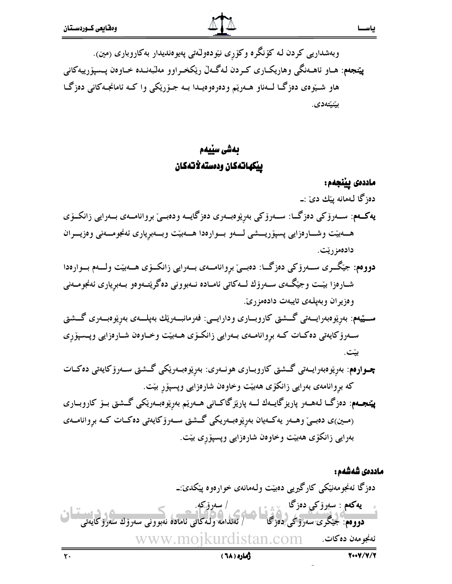وبەشداریی کردن لـه کۆنگرە وکۆرى نێودەولـٚەتى پەيوەنديدار بەکاروبارى (مين). **پێنجەم**: ھــاو ئاھــەنگى وھاريكــارى كــردن لـەگــەلّ رێكخــراوو مەلّبەنــدە خــاوەن پــسپۆرييەكانى هاو شـێوی دەزگـا لــهناو هــهرێم ودەرەوەيــدا بــه جـۆرێکى وا کــه ئامانجــهکانى دەزگــا بێنێتەدى.

## بەشى سێيەم ييكهاتهكان ودمسته لأتهكان

#### ماددەى يينجەم:

دەزگا لـەمانە پێك دىٰ :ــ يەكــەم: ســەرۆكى دەزگـــا: ســەرۆكى بەرپوەبــەرى دەزگايــە ودەبــىّ بروانامــەى بــەرايى زانكــۆى هـمهيّت وشـارەزايى پسپۆريـــشى لــــهو بـــوارەدا هــــهبيّت وبـــهبرِيارى ئەنجومــــەنى وەزيــــران دادەمزريّت.

- دووهم: جيْگــرى ســــهروْكي دەزگـــا: دەبـــيْ بروانامــــهى بـــهرايي زانكـــوّي هــــهبيّت ولــــهم بـــوارەدا شــارەزا بێـت وجێگــەی ســەرۆك لـــەكاتى ئامــادە نــەبوونى دەگرێتــەوەو بــەبريارى ئەنجومــەنى و دزیر آن و بهیلهی تایبهت دادهمز ریّ.
- ســــێپهم: بەرێوەبەرايــــەتى گـــشتى كاروبـــارى ودارايــــى: فەرمانبـــەرێك بەپلــــەى بەرێوەبـــەرى گـــشتى ســهرۆکايەتى دەكـات كــه بروانامــهى بــهرايى زانكــۆى هــهبێت وخــاوەن شــارەزايى وپــسپۆرى
- چوارەم: بەرێوەبەرايــەتى گــشتى كاروبــارى ھونــەرى: بەرێوەبــەرێكى گــشتى ســەرۆكايەتى دەكــات که بروانامهی بهرایی زانکوّی ههبیّت وخاوهن شارهزایی وپسپور بیّت.
- **پێنجـەم**: دەزگــا لـەھــەر پاريزگايــەك لـــە پارێزگاكــانى ھــەرێم بەرێوەبــەرێكى گــشتى بــۆ كاروبــارى (مین)ی دەبىيٌ وهـــەر يەكـــەيان بەرێوەبـــەريكى گـــشتى ســـەرۆكايەتى دەكــات كـــە بروانامـــەي بەرايى زانكۆي ھەبێت وخاوەن شارەزايى وپسپۆرى بێت.

ماددەى شەشەم : ده;گا ئەنجومەنىڭكى كارگىرىيى دەبىت ولـەمانەي خوارەوە يېكىدى:۔ پهکهم : سهرۆکى دەزگا / سەرۆكە. دووهم: جَيْكَرى سەرۆكى دەزگا ر ئەندامە ولەكاتى ئامادە نەبوونى سەرۆك سەرۆكايەتى www.moikurdistan.com ئەنجو مەن دەكات.  $\mathsf{r}$ .

ژماره ( ٦٨)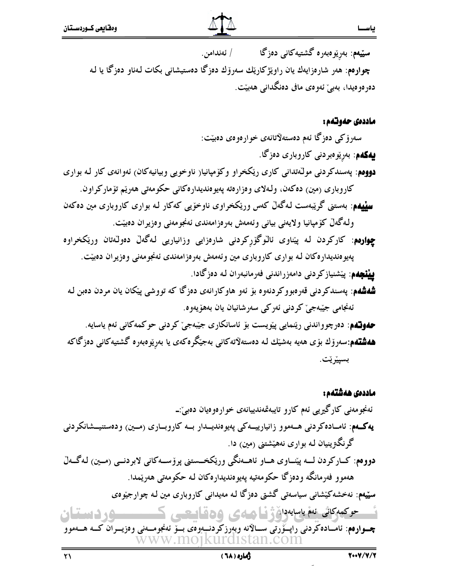

سێیەم: بەرێوەبەرە گشتیەکانی دەزگا ∕ ئەندامن. **چوارەم**: ھەر شارەزايەك يان راوێژكارێك سەرۆك دەزگا دەستيشانى بكات لـەناو دەزگا يا لـە دەرەوەيدا، بەبئ ئەوەي مافى دەنگدانى ھەبێت.

#### ماددەى حەوتەم :

سەرۆكى دەزگا ئەم دەستەلاتانەي خوارەوەي دەبێت: **بیهکهم**: بەرێوەبردنى کاروبارى دەزگا. **دووم**م: پەسندكردنى مولّەتدانى كارى رێكخراو وكۆمپانيا( ناوخويى وبيانيەكان) ئەوانەى كار لـه بوارى كاروباري (مين) دەكەن، ولـەلاي وەزارەتە پەيوەنديدارەكانى حكومەتى ھەرپم تۆماركراون. **سِپْیِهم**: بەستنی گریْبەست لـهگەلْ کەس وریْکخراوی ناوخۆیبی کەکار لـه بواری کاروباری مین دەکەن ولـهگەلٌ كۆمپانيا ولايەنى بيانى وئەمەش بەرەزامەندى ئەنجومەنى وەزيران دەبێت. **چواردم**: کارکردن له پیناوی ئالوگۆرکردنی شارەزایی وزانیاریی لـهگەلْ دەولىّەتان وریْکخراوە پەيوەنديدارەكان لـه بوارى كاروبارى مين وئەمەش بەرەزامەندى ئەنجومەنى وەزيران دەبيّت. **يينچەم**: پێشنيازكردنى دامەزراندنى فەرمانبەران لـه دەزگادا.

شدشدم: پهسندکردنی قەرەبووکردنەوە بۆ ئەو ھاوکارانەی دەزگا کە تووشى پێکان يان مردن دەبن لە ئەنجامى جيّبەجىؒ كودنى ئەركى سەرشانيان يان بەھۆپەوە.

ههو**نشه**: دەرچوواندنى رێنمايى پێويست بۆ ئاسانكارى جێبەجىٚ كردنى حوكمەكانى ئەم ياسايە. **هەشتەم**:سەرۆك بۆى ھەيە بەشێك لـە دەستەلاتەكانى بەجێگرەكەى يا بەرێوەبەرە گشتيەكانى دەزگاكە بسپێرێت.

#### ماددەى ھەشتەم :

ئەنجو مەنبى كارگىرىي ئەم كارو تايبەقمەندىيانەي خوارەوميان دەبى ٘:-يەكــەم: ئامــادەكردنى ھــەموو زانيارييــەكى پەيوەنديــدار بــە كاروبــارى (مــين) ودەستنيــشانكردنى گرنگۃ پنیان لـه بواری نههپشتنی (مین) دا. دووهم: كــاركردن لـــه پێـــاوي هــاو ئاهـــهنگي ورێكخـــستني پرۆســـهكاني لابردنــي (مــين) لـهگــهلّ هەموو فەرمانگە ودەزگا حكومەتيە پەيوەنديدارەكان لـە حكومەتى ھەرێمدا. سټیهم: نهخشهکێشانې سیاسهتي گشتي دهزگا لـه مهیدانې کاروباری مین لـه چوارجیوهي حوكمەكاش ئەم ياسايەدا، بۇ ساھىلىكى 166 كاملىكتىن ك ـــــود دستان چــوارەم: ئامــادەكردنى راپــۆرتى ســالانه وبەرزكردنــەوەى بــۆ ئەنجومــەنى وەزيــران كــە ھــەموو WW.MO1KUIT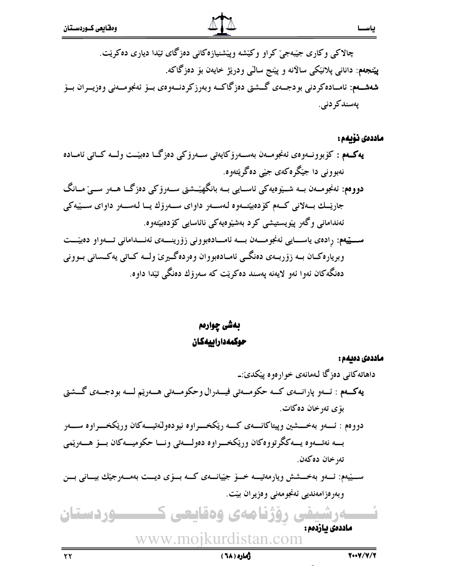چالاکی وکاری جیّبهجی٘ کراو وکی٘شه وپی٘شنیازەکانی دەزگای تیّدا دیاری دەکری٘ت. **پێنجەم**: دانانى پلانێكى سالانە و پێنج سالى ودرێژ خايەن بۆ دەزگاكە. شەشــەم: ئامــادەكردنى بودجــەى گــشتى دەزگاكــە وبەرزكردنــەوەى بــۆ ئەنجومــەنى وەزيــران بــۆ ڊ يەسندكر دني. ړ

ماددەى نۆيەم :

!33,33-3333' !33B!:-33
,-:-33
- -330--33 -33- )- &B!'5-&6'5 ! - |3333
-3333B!:-33
/33'F6 -33 33
-'33+-33 -330- ! -''33
 !-33
-33;:-33
 !-33
--33 ' !-33H-33 O335 ) - ' !
-'+- !&/' <'9-B @- 333' ! -333, @333--333=: !333-33 -3330-333
! 2-''333 3 <3-,3-3L3B! !336!-3 :-3 3& ) ! @',6!;:--&!@=
-9--H- --6!

بەشى چوارەم حوكمەداراييەكان

نــــــەرشیفی رۆژنامەی وەقايعی كـــــــــوردستان www.mojkurdistan.com ماددەى دەيمە : داهاتهکانی دەزگا لـهمانەی خوارەوە پێکدێ:ــ ۹کمهم : ئــهو پارانـــهي كــه حكومـــهتي فيـــدرال وحكومـــهتي هـــهريْم لـــه بودجــهي گـــشتي l بۆى تەرخان دەكات. دووهم : ئــــهو بهخــــشين وپيتاكانــــهى كــــه رێكخــــراوه نيودەولّەتيــــهكان ورێكخــــراوه ســـــهر ڊ بــه نەتـــەوه يـــەككرتووەكان ورێكخـــراوه دەولـــەتى ونــا حكوميـــەكان بـــۆ ھـــەرێمى  $\mathcal{O}(\mathcal{O})$ تەرخان دەكەن. **;** ســـێيەم: ئــــەو بەخــــشش ويارمەتيــــە خــــۆ جێيانــــەی كـــە بـــۆی ديـــت بەمـــەرجێك بيـــانى بـــن ڔ ڊ وبەرەزامەندىي ئەنجومەنى وەزيران بێت. ڔ í ماددەى يازدەم :

زماره ( ٦٨ )

\*\*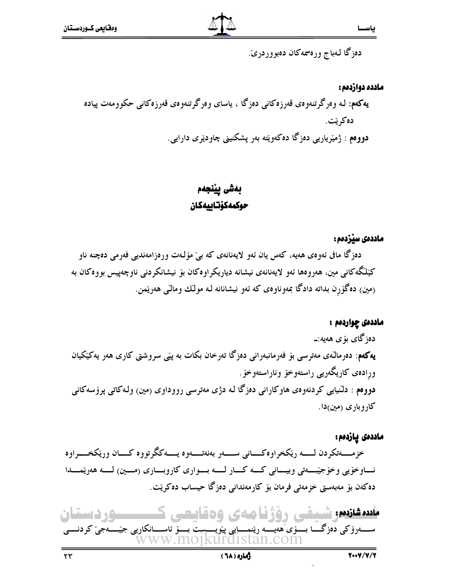دەزگا لـەباج ورەسمەكان دەبووردرىّ.

#### مادده دواردهم : **هکهم**: لـه وەرگرتنەوەى قەرزەکانى دەزگا ، ياساى وەرگرتنەوەى قەرزەکانى حکوومەت پيادە 2 )&! دووهم : ژمیْریاریی دەزگا دەكەوپتە بەر پشكنینی چاودێری دارایی. ڊ

## بەشى يينجەم حوكمەكۆتاييەكان

### ماددەى سێزدەم :

دەزگا مافى ئەوەي ھەيە، كەس يان ئەو لايەنانەي كە بى مۆلەت ورەزامەندىيى فەرمى دەچنە ناو کێڵگەکانی مین، هەروەها ئەو لايەنانەی نیشانە دیاریکراوەکان بۆ نیشانکردنی ناوچەپیس بووەکان بە ڊ (مين) دەگۆرِن بداتە دادگا بمەوناوەي كە ئەو نيشانانە لـە مولَّك ومالَّى ھەرێمن.

#### ماددەى چواردەم : دەزگاى بۆى ھەيە:ــ **4كەم**: دەرمالەى مەترسى بۆ فەرمانبەرانى دەزگا تەرخان بكات بە پێى سروشتى كارى ھەر يەكێكيان ڔ ė **) هو خوّ . المستقرر المستقرر المستقرر المستقرر المستقرر المستقرر المستقرر المستقرر المستقرر المستقرر المستقرر** ورِادەى كاريگەرىي راستەوخۆ وناراست **دووهم** : دلنیایی کردنهوهی هاوکارانی دهزگا له دژی مهترسی رووداوی (مین) ولهکاتی پرۆسهکانی کاروباری (مین)دا.

#### ماددەى پازدەم :

خزمـــــهتكردن لـــــــه رێكخراوهكــــاني ســـــهر بهنهتــــهوه يـــــهككرتووه كــــان ورێكخـــــراوه ڊ نــــاوخۆيي وخۆجێــــــهتي وبيـــــاني كـــــه كــــار لـــــه بــــوارى كاروبــــارى (مــــين) لـــــه هەرێمـــــدا دەكەن بۆ مەبەستى خزمەتى فرمان بۆ كارمەندانى دەزگا حيساب دەكرێت. ڔ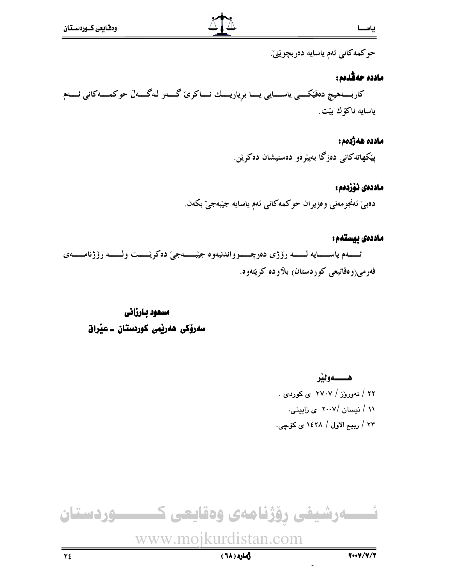حوكمەكانى ئەم ياسايە دەربچوێنى.

#### مادده حەڤدەم:

كاربـــــەهيچ دەقێكـــــى ياســـــايى يـــــا برياريــــك نــــاكرىّ گــــەر لـهگــــەلّ حوكمـــــه كانى ئـــــەم ياسايه ناكۆك بێت.

#### مادده هەژدەم :

پێکهاتهکانی دەزگا بەپێرەو دەسنیشان دەكرێن.

#### ماددەى ئۆزدەم :

دەبىٰ ئەنجومەنى وەزيران حوكمەكانى ئەم ياسايە جێبەجىٰ بكەن.

## ماددەى بيستەم: ئــــــــهم ياســـــــايه لــــــــه رۆژى دەرچــــــوواندنيەوه جيّبـــــــهجيّ دهكريّـــــت ولـــــــه رۆژنامــــــهي فهرمي(و هڦائيعي کوردستان) بلاوده کريّتهوه.

## مسعود بارزاني سەرۆكى ھەرپمى كوردستان ـ عيراق

هـــــــهونير ۲۲ / نهوروز / ۲۷۰۷ ی کوردی . ۱۱ / نیسان /۲۰۰۷ ی زایینی. ۲۳ / ربیع الاول / ۱٤۲۸ ی کۆچی.

# ئــــــەرشيفى رۆژنامەى وەقايعى كــــــــــوردستان

www.mojkurdistan.com

رهاره ( ٦٨)

 $Y\xi$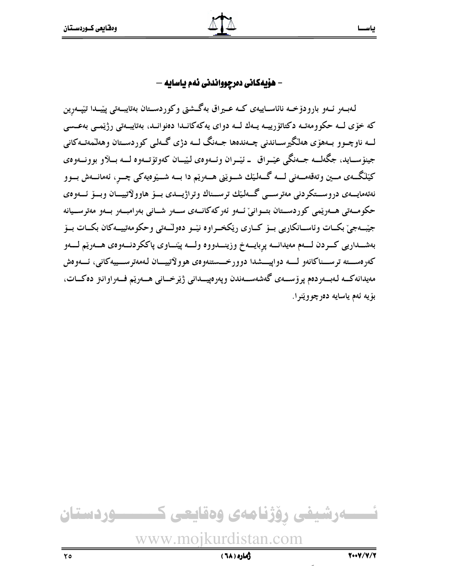## – هۆيەكانى دەرچوواندنى ئەم ياسايە –

لەبــەر ئــەو بارودۆخــە نائاســاييەى كــە عــيراق بەگــشتى وكوردســتان بەتايبــەتى پێــدا تێپــەرِين ڔ ڊ که خۆی لــه حکوومەتــه دکتاتۆرییــه یــهك لــه دوای یهکهکانــدا دەنوانــد، بەتايبــەتی رژێمــی بەعــسی ڊ ڊ لــه ناوچــوو بــههۆی هەڭگيرســاندنى چــەندەھا جــەنگ لـــە دژی گــەلی كوردســتان وهەلىمەتــەكانى جينۆسـايد، جگەلــه جــەنگى عێــراق ــ ئێــران وئــەوەى لێــان كەوتۆتــەوە لـــە بــلاو بوونــەوەى کێڵگــهى مــين وتەقەمـــەنى لــــە گـــەلـێك شـــوێنى هـــەرێم دا بـــە شـــێوەيەكى چـــڕ، ئەمانـــەش بـــوو ەتەمايـــەى دروســـتكردنى مەترســـى گـــەلـێك ترســـناك وتراژيـــدى بـــۆ ھاوولاتييـــان وبـــۆ ئـــەوەى į حکومـەتى ھــەرێمى کوردىســتان بتــوانىٚ ئــەو ئەركەكانــەى ســەر شــانى بەرامبــەر بــەو مەترســيانە ڊ جیّبهجی٘ بکـات وئاسـانکاریی بــۆ کــاری ریکخــراوه نیّــو دەولـّــەتی وحکومەتییــهکان بکــات بــۆ بەشــداريي كــردن لــــەم مەيدانــــە پڕبايـــەخ وزينـــدووه ولــــە پێنـــاوي پاككردنـــەوەي هـــەرێم لــــەو ڊ كەرەســتە ترســناكانەو لــــە دواپيـــشدا دوورخـــستنەوەى ھوولاتييـــان لـەمەترســـييەكانى، ئـــەوەش مەيدانەكــە لـەبــەردەم پرۆســەى گەشەســەندن وپەرەپيــدانى ژێرخــانى ھــەرێم فــەراوانىز دەكــات، بۆيە ئەم ياسايە دەرچووێنرا.

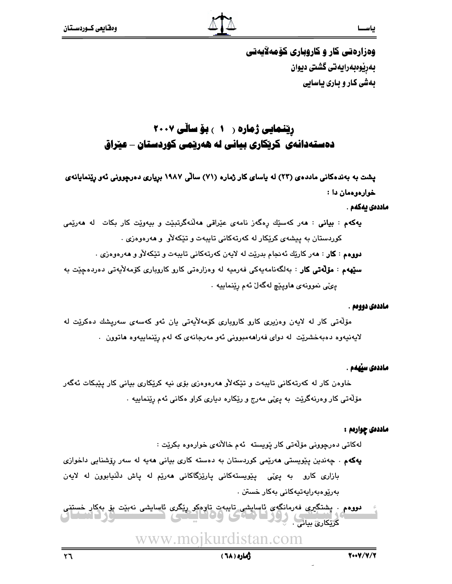

وهزارهتی کار و کاروباری کوْمەلاپەتی بەرێوەبەرايەتى گشتى ديوان بهشی کار و باری پاسایی

## رینمایی ژماره ( ۱ ) بۆساڵی ۲۰۰۷ دهستهدانهی کریکاری بیانی له ههریمی کوردستان – عیراق

پشت به بهندهکانی ماددهی (۲۳) له یاسای کار ژماره (۷۱) سالّی ۱۹۸۷ برِیاری دهرچوونی نُهو رِیْنمایانهی خوارهوهمان دا :

#### ماددەى بەكەم .

**يەكەم : بيانى : م**ەر كەسێك رەگەز نامەي عێراقى **م**ەلّنەگرتبێت و بيەوێت كار بكات لە ھەرێمى کوردستان به پیشهی کرێکار له کهرتهکانی تایبهت و تێکهلأو و ههرهوهزی . **دووهم : کار : م**ەر کارێك ئەنجام بدرێت لە لايەن كەرتەكانى تايبەت و تێكەلأو و مەرەوەزى . **سٽِهه**م : **مۆلّەتى كار** : بەلگەنامەيەكى فەرميە لە وەزارەتى كارو كاروبارى كۆمەلآيەتى دەردەجێت بە يئي نموونهي هاويٽچ لهگهلٌ ئهم ريٽنماييه ٠

#### ماددهي دوومم .

مۆلەتى كار لە لايەن وەزىرى كارو كاروبارى كۆمەلأيەتى بان ئەو كەسەي سەرپشك دەكرێت لە لايەنيەوە دەبەخشرێت لە دواى فەراھەمبوونى ئەو مەرجانەي كە لەم رێنماييەوە ھاتوون .

#### ماددەى سۆمەم .

خاوەن كار لە كەرتەكانى تايبەت و تێكەلأو ھەرەوەزى بۆى نيە كرێكارى بيانى كار پێبكات ئەگەر مۆلّەتى كار وەرنەگرێت بە پىمّى مەرج و رێكارە ديارى كراو ەكانى ئەم رێنماييە .

#### مادددی چواردم :

لەكاتى دەرچوونى مۆلەتى كار ێويستە ئەم خالأنەي خوارەوە بكرێت :

**یهکه**م . چەندین پێویستی هەرێمی کوردستان بە دەستە کاری بیانی هەیە لە سەر رێشنایی داخوازی بازاری کارو به پیمی پیویستهکانی پاریزگاکانی ههریم له پاش دلنیابوون له لایهن بەرێوەبەرايەتيەكانى بەكار خستن .

**دووەم . پ**شتگیری فەرمانگەی ئاسايشى تايبەت تاوەكو رێگری ئاسايشى نەبێت بۆ بەكار خستنى کریکاری بیانی . پور کا کامکان **TEICE** 

www.moikurdistan.com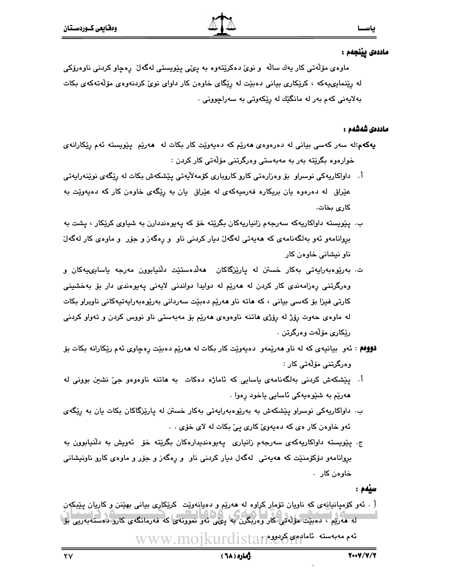#### ماددەى يېنجەم :

ماوەی مۆلّەتى كار يەك سالّە و نوێ دەكرێتەوە بە پێّى پێويستى لەگەلٚ رەچاو كردنى ناوەرۆكى له رِپْنمایىپەكە ، كرێكارى بیانى دەبێت لە رِپّگاى خاوەن كار داواى نوىّ كردنەوەى مۆلّەتەكەى بكات بهلايەنى كەم بەر لە مانگێك لە رێكەوتى بە سەراچوونى ٠

#### ماددەى شەشەم :

- **پهکهم:**له سهر کهسی بیانی له دهرهوهی **م**هرێم که دهیهوێت کار بکات له ههرێم پێویسته ئهم رێکارانهی خوارەوە بگرێتە بەر بە مەبەستى وەرگرتنى مۆلەتى كار كردن :
- اً. داواکاریهکی نوسراو بۆ وەزارەتی کارو کاروباری کۆمەلأیەتی پێشکەش بکات لە رێگەی نوێنەرایەتی عێراق له دهرهوه یان بریکاره فهرمیهکهی له عێراق یان به رِیٚگهی خاوهن کار که دهیهویٚت به كارى بخات.
- ب. پێویسته داواکاریهکه سهرجهم زانیاریهکان بگرێته خۆ که پهپوهنددارن به شیاوی کرێکار ، پشت به بروانامهو ئهو بهلگهنامهي كه ههيهتي لهگهلٌ ديار كردني ناو ٍ و رِهگهز و جۆر ٍ و ماوهي كار لهگهلٌ ناو نيشاني خاوەن كار
- ت. بەرێوەبەرايەتى بەكار خستن لە يارێزگاكان ھەڵدەستێت دڵنيابوون مەرجە ياسايىييەكان و وەرگرتنى رەزامەندى كار كردن لە ھەرپّم لە دوايدا دواندنى لايەنى يەيوەندى دار بۆ بەخشىنى کارتی فیزا بۆ کەسی بیانی ، کە ھاتە ناو ھەرێم دەبێت سەردانی بەرێوەبەرايەتيەکانی ناوبراو بکات له ماوهي حهوت روِّژ له روِّژي هاتنه ناوهوهي ههرێم بوّ مهبهستي ناو نووس کردن و تهواو کردني رێِکارِي مۆڵەت وەرگرتن .
- **دوومم** : ئەو بيانيەي كە لە ناو مەرپەەو دەپەوپت كار بكات لە مەرپم دەبپت رەچاوى ئەم رپكارانە بكات بۆ وەرگرتنى مۆلەتى كار :
- اً. يَيْشكهش كردنى بهلگهنامهى ياسايى كه ئاماژه دهكات به هاتنه ناوهوهو جيّ نشين بوونى له هەرێم بە شێوەپەكى ئاسايى ياخود رەوا ٠
- ب. داواکاریەکی نوسراو یێشکەش بە بەرێوەبەرایەتی بەکار خستن لە پارێزگاکان بکات یان بە رێگەی ئهو خاوهن کار می که دمیهویّ کاری ییّ بکات له لای خوّی . .
- ج. پێویسته داواکاریهکهی سهرجهم زانیاری یهیوهندیدارهکان بگرێته خۆ ئەویش به دڵنیابوون به بروانامهو دۆكۆمنێت كه هەپەتى لەگەل دىيار كردنى ناو و رەگەز و جۆر و ماوەی كارو ناونىشانى خاوەن كار .

سندم :

لَّ . ئەو كۆمپانىيانپەي كە ناويان تۆمار كراوە لە ھەرێم و دەيانپەوێت كرێكارى بىيانى بھێنن و كاريان پێپكەن له هەرپىم ، دەببىت مۆلەتى كار وەربگرن بە يېمى ئەو نموونەي كە فەرمانگەي كارو دەستەبەريى بۆ ا ئەم مەبەستە ئامارىمى كرىيوم www.mojkurdistar

 $\mathsf{Y}\mathsf{V}$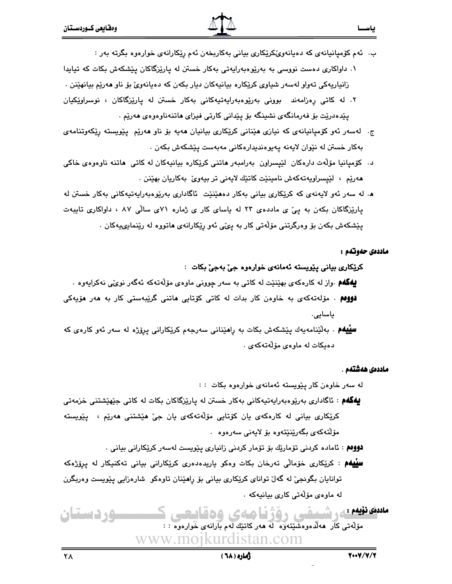زانياريەكى تەواو لەسەر شياوى كرێكارە بيانيەكان ديار بكەن كە دەيانەوێ بۆ ناو ھەرێم بيانھێنن .

- ۲. له کاتی رەزامەند بوونی بەرێوەبەرايەتپەکانی بەکار خستن لە پارێزگاکان ، نوسراوێِکپان یپدەدریت بۆ فەرمانگەی نشینگە بۆ پیدانی كارتی فیزای ماتنەناوەوەی مەریم .
- ج. لەسەر ئەو كۆميانيانەي كە نيازى ھێنانى كرێكارى بيانيان ھەيە بۆ ناو ھەرێم يێويستە رێكەوتنامەي بەكار خستن لە نێوان لايەنە يەيوەندىدارەكانى مەبەست يێشكەش بكەن .
- د. كۆميانيا مۆلەت دارەكان لێيسراون بەرامبەر ھاتنى كرێكارە بيانيەكان لە كاتى ھاتنە ناوەوەي خاكى ھەرێم ، لێپسراويەتەكەش نامىنێت كاتێك لايەنى تر بيەوێ بەكاريان بھێنن .
- ه. له سەر ئەو لايەنەي كە كرێكارى بيانى بەكار دەھێنێت ئاگادارى بەرێوەبەرايەتيەكانى بەكار خستن لە پارێزگاکان بکهن به ییؒ ی ماددهی ۲۳ له یاسای کار ی ژماره ۷۱ی سالّی ۸۷ ، داواکاری تایبهت پێشکهش بکهن بۆ وەرگرتنى مۆلّەتى کار به پىِّي ئەو رێکارانەي ھاتووە لە رێنمايىپەکان .

#### ماددەي حەوتەم :

بياسيسيا

#### کرێِکار*ی* بياني پێويسته ئهمانهي خوارهوه جيّ بهجيّ بکات :

**پهگهم** .واز له کارهکهی بهێنێت له کاتی به سهر چوونی ماوهی مۆلّهتهکه ئهگهر نویٌی نهکرایهوه .

- **دوومم** . مۆلەتەكەى بە خارەن كار بدات لە كاتى كۆتايى ماتنى گرێبەستى كار بە مەر مۆيەكى ياسايى.
- **سلیلهم** . بهلٌینامهپهك پیّشكهش بكات به راهیّنانی سهرجهم كریّكارانی پروّژه له سهر ئهو كارهی كه دەيكات لە ماوەي مۆلەتەكەي .

#### ماددەى ھەشتەم .

له سەر خاوەن كار يێويسته ئەمانەى خوارەوە بكات : :

- **يەگەم** : ئاگادارى بەرێوەبەراپەتپەكانى بەكار خستن لە پارێزگاكان بكات لە كاتى جێهێشتنى خزمەتى کرێِکاری بيانی له کارهکهی يان کۆتايی مۆڵەتەکەی يان جیٚ هێشتنی هەرێم ، پێویسته مۆلتەكەي بگەرينىيتەوە بۆ لايەنى سەرەوە .
	- **دووەم** : ئامادە كردنى تۆمارێك بۆ تۆمار كردنى زانيارى يێويست لەسەر كرێكارانى بيانى .
- **سییهم** : کریکاری خوّمالّی تەرخان بکات وەکو باریدەدەری کریکارانی بیانی تەکنیکار لە يروّژەکە توانایان بگونجیٌ له گهلٌ توانای کرێکاری بیانی بۆ رِاهێنان تاوهکو ۖ شارهزایی پێویست وهربگرن له ماوهى مۆلەتى كارى بيانيەكە .

#### مادىق نۆيەم يى شىمنى دۆژنا ھەي 150 مىسى ma 10 مۆلەتى كار ھەلدەوەشىتەۋە لە ھەركاتىك لەم بارانەي خوارەوە : :

www.mojkurdistan.com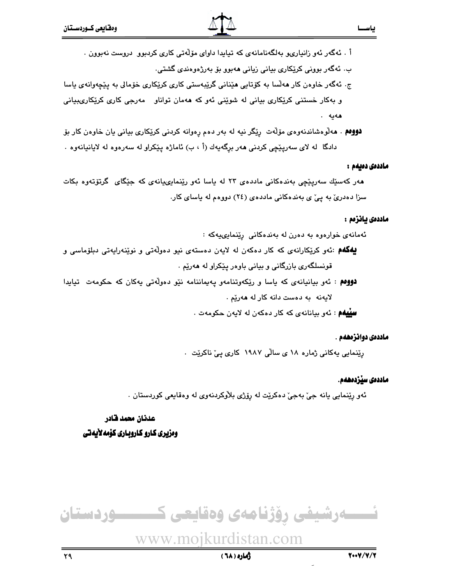- أ . ئەگەر ئەو زانيارىيو بەلگەنامانەي كە تيابدا داواي مۆلەتى كارى كردېوو دروست نەبوون .
	- ب. ئەگەر بوونى كرێكارى بيانى زيانى ھەبوو بۆ بەرژەوەندى گشتى.
- ج. ئەگەر خاوەن كار ھەلّسا بە كۆتايى ھێنانى گرێبەستى كارى كرێكارى خۆمالى بە پێچەوانەي ياسا و بهکار خستنی کرێِکاری بیانی له شوێنی ئهو که ههمان تواناو مهرجی کاری کرێِکاریٻیانی هەبە .
- **دووهم** . هەلوەشاندنەوەي مۆلەت رېيگر نيە لە بەر دەم رەوانە كردنى كريكارى بيانى يان خاوەن كار بۆ دادگا له لای سهریێچی کردنی ههر برگه یهك (أ ، ب) ئاماژه پێکراو له سهرهوه له لایانیانهوه .

#### ماددەى دەيمە :

ياســا

هەر كەسىيك سەريىيچى بەندەكانى ماددەي ٢٣ لە ياسا ئەو رێنمايىپانەي كە جێگاى گرتۆتەوە بكات سزا دهدری به یی ی بهندهکانی ماددهی (٢٤) دووهم له یاسای کار.

#### ماددەى يانزەم :

ئەمانەي خوارەوە بە دەرن لە بەندەكانى رێنمايىپەكە :

- **بیهگهم** :ئەو کرێکارانەی کە کار دەکەن لە لايەن دەستەی نيو دەولەتى و نوێنەرايەتى دېلۆماسى و قونسلگەرى بازرگانى و بيانى باوەر يێكراو لە ھەرێم .
- **دووهم** : ئەو بيانيانەي كە ياسا و ريكەوتنامەو يەيماننامە نيو دەولەتى يەكان كە حكومەت تيابدا لايەنە بە دەست دانە كار لە ھەرێم .

**سِيْيهُم**ِ : ئەو بېانانەي كە كار دەكەن لە لايەن چكومەت .

#### ماددەى دوائزەھەم .

رێِنمایی پهکانی ژماره ۱۸ ی سالّی ۱۹۸۷ کاری ییّ ناکریّت ۰

#### ماددەى سێردەھەم.

ئەو رِپْنمايي يانە جيّ بەجيّ دەكرێت لە رِۆژى بلاّوكردنەوي لە وەقايعى كوردستان .

#### عدنان معمد قادر وەزيرى كارو كاروبـارى كۆمەلأيەتى

## ےرشیفی روّژنامەی وەقايعی كـــــــــوردستان

## www.moikurdistan.com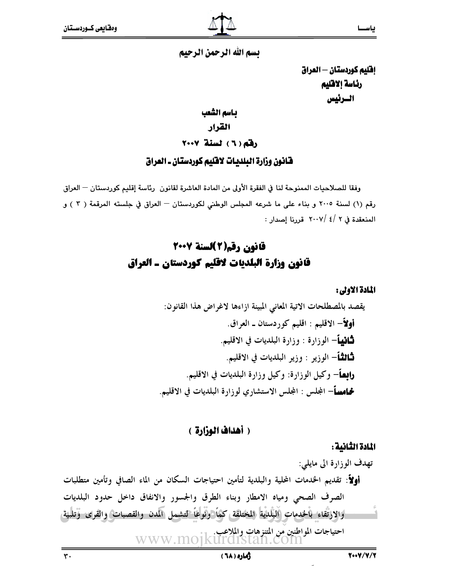يسم الله الرحمن الرحيم

إفليم كوردستان - العراق رئاسة إلاقليم السرئيس

بـاسم الشّعب القرار رفقه ( ٦) لسنة ٢٠٠٧

#### فانون وزارة البلديات لافليم كوردستان ـ العراق

وفقا للصلاحيات الممنوحة لنا في الفقرة الأولى من المادة العاشرة لقانون رئاسة إقليم كوردستان — العراق رقم (١) لسنة ٢٠٠٥ و بناء على ما شرعه المجلس الوطني لكوردستان - العراق في جلسته المرقمة ( ٢ ) و المنعقدة في ٢ /٤ /٢٠٠٧ قررنا إصدار:

## قانون رقم(2)لسنة 2007 قانون وزارة البلديات لاقليم كوردستان ـ العراق

المادة الاولى:

يقصد بالمصطلحات الاتية المعاني المبينة ازاءها لاغراض هذا القانون: أولاً– الاقليم : اقليم كوردستان ـ العراق. **ثـانيـأ**– الوزارة : وزارة البلديات في الاقليم. **ثَّاثِثًا**ً— الوزيو : وزير البلديات في الاقليم. **رابصاً**– وكيل الوزارة: وكيل وزارة البلديات في الاقليم. **نحامساً**– المجلس : المجلس الاستشاري لوزارة البلديات في الاقليم.

#### ( أهداف الوزارة )

المادة الثانية :

تهدف الوزارة الى مايلي: أولاً: تقديم الخدمات المحلية والبلدية لتأمين احتياجات السكان من الماء الصافي وتأمين متطلبات الصرف الصحى ومياه الامطار وبناء الطرق والجسور والانفاق داخل حدود البلديات أوالارتقاء بالخدمات البلدية المختلفق كمأ ونوعاً لتشمل المدن والقصبات والقرى وتلبيق 

 $\mathbf{r}$ .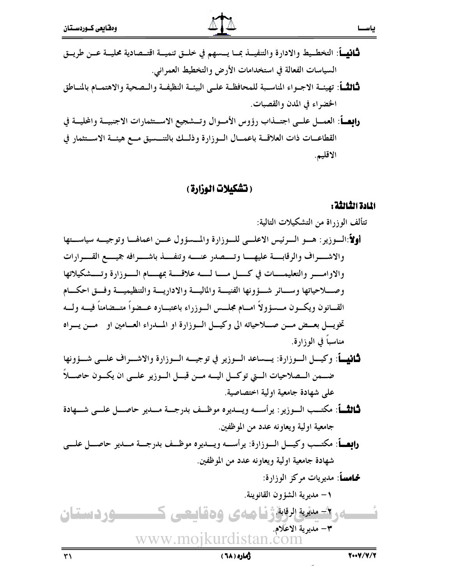القطاعــات ذات العلاقـــة باعمـــال الـــوزارة وذلـــك بالتنـــسيق مـــع هيئـــة الاســـتثمار في الاقليم.

(تشكيلات الوزارة)

#### المادة الثالثة :

ياســا

زهاره ( ٦٨)

 $\overline{r}$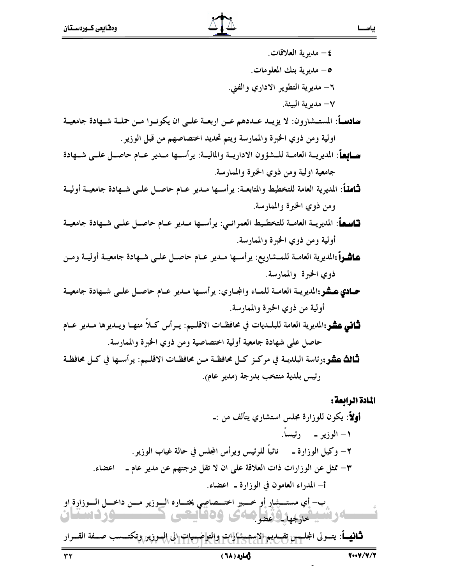٤ – مديوية العلاقات. 0– مديوية بنك المعلومات. ٦– مديرية التطوير الاداري والفني. √− مديرية البيئة. **سادسـاً**: المستـشارون: لا يزيــد عــددهم عــن اربعــة علــي ان يكونــوا مــن حملــة شــهادة جامعيــة اولية ومن ذوي الخبرة والممارسة ويتم تحديد اختصاصهم من قبل الوزير. **ســالـهـاً**: المديريــة العامــة للــشؤون الاداريــة والماليــة: يرأســها مــدير عــام حاصــل علــي شــهادة جامعية اولية ومن ذوى الخبرة والممارسة. **ثَـامنـاً**: المديرية العامة للتخطيط والمتابعــة: يرأســها مــدير عــام حاصــل علــي شــهادة جامعيــة أوليــة ومن ذوي الخبرة والممارسة. لسلم عليه اللديويسة العامسة للتخطيط العمرانسي: يو أسسها مسديو عسام حاصل علمي شـهادة جامعيــة أولية ومن ذوي الخبرة والممارسة. عاشراً :المديرية العامــة للمــشاريع: يرأســها مــدير عــام حاصــل علــى شــهادة جامعيــة أوليــة ومــن ذوي الخبرة والممارسة. حمادي عشو:المديريــة العامــة للمــاء والمجـاري: يرأســها مــدير عــام حاصــل علــي شــهادة جامعيــة أولية من ذوى الخبرة والممارسة. **ثَـاني عشر:**المديرية العامة للبلــديات في محافظــات الاقلــيم: يــرأس كــلاً منهــا ويــديرها مــدير عــام حاصل على شهادة جامعية أولية اختصاصية ومن ذوى الخبرة والممارسة. **ثَـالَتْ عشر:**رئاسة البلديــة في مركــز كــل محافظــة مــن محافظــات الاقلــيم: يرأســها في كــل محافظــة رئيس بلدية منتخب بدرجة (مدير عام).

المادة الرابعة : أولاً: يكون للوزارة مجلس استشاري يتألف من :ـ ١– الوزير \_\_\_\_ رئيساً. ٢– وكيل الوزارة ـ نائباً للرئيس ويرأس المجلس في حالة غياب الوزير . ٣- ممثل عن الوزارات ذات العلاقة على ان لا تقل درجتهم عن مدير عام ـ اعضاء. أ– المدراء العامون في الوزارة ـ اعضاء. ِب- أِي مستــشِلٍ أَو خــبير اختـــصاصي يختـــاره الــوزير مـــن داخـــل الـــوزارِة او

**ثـانيـــاً**: يتــولى المجلـــس تقـــديم الاستـــشارات والتواصـــيات الى السوزين وتكتـــسب صــفة القـــرار

#### رهاره ( ٦٨)

4رىتىيد<sub>ىدىك</sub>ۇنياھەي ۋەقايىتى

**مسئل د دستان**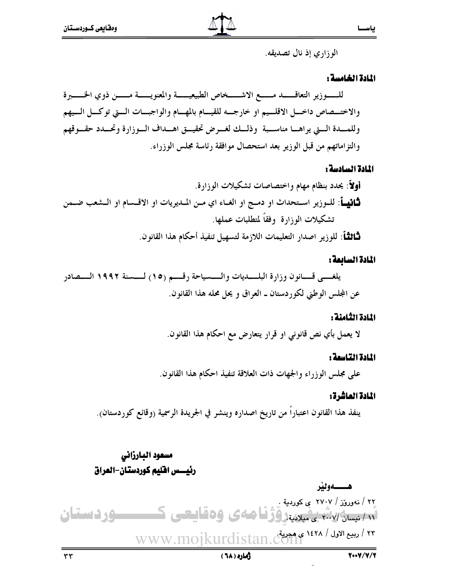الوزاري إذ نال تصديقه.

#### المادة الخامسة:

#### المادة السادسة :

## المادة السابعة:

#### المادة الثامنة :

لا يعمل بأي نص قانوني او قرار يتعارض مع احكام هذا القانون.

#### المادة التاسعة :

على مجلس الوزراء والجهات ذات العلاقة تنفيذ احكام هذا القانون.

#### المادة العاشرة:

ينفذ هذا القانون اعتباراً من تاريخ اصداره وينشر في الجريدة الرسمية (وقائع كوردستان).

## مسعود البارزاني رئيسس افليم كوردستان-العراق

ژماره ( ٦٨ )

 $\tau\tau$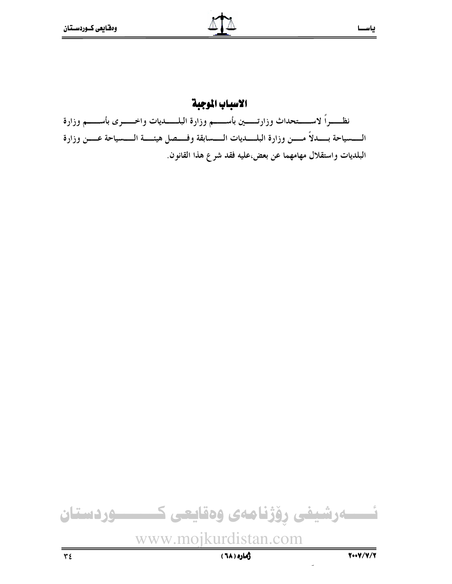## الاسباب الموجبة

نظـــــراً لاســـــتحداث وزارتــــــين بأســــــم وزارة البلـــــــديات واخـــــــرى بأســــــم وزارة الــــــسياحة بــــــــدلاً مـــــــن وزارة البلــــــديات الــــــسابقة وفـــــصل هيئـــــة الـــــسياحة عـــــن وزارة البلديات واستقلال مهامهما عن بعض،عليه فقد شرع هذا القانون.

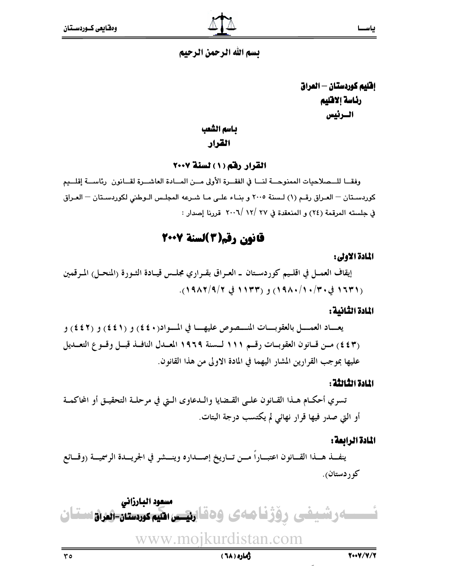## تسم الله الرحمن الرحيم

إفليم كوردستان – العراق رئاسة إلاقليم السرئيس

#### بـاسم الشعب

#### القرار

القرار رقم (١) لسنة ٢٠٠٧

وفقــا للــمـلاحيات الممنوحــة لنــا في الفقــرة الأولى مــن المــادة العاشــرة لقــانون برئاســة إقلــيم كوردستان - العـراق رقـم (١) لـسنة ٢٠٠٥ و بنـاء علـى مـا شـرعه المجلـس الـوطني لكوردسـتان - العـراق في جلسته المرقمة (٢٤) و المنعقدة في ٢٧ /١٢ /٢٠٠٦ قررنا إصدار :

## قانون رقم(3)لسنة 2007

#### المادة الأولى:

إيقاف العمــل في اقلــيم كوردســتان ــ العـراق بقــراري مجلــس قيــادة الشـورة (المنحــل) المـرقمين (١٦٣١ في ٢٠/٠/١٩٨٠) و (١٩٣٣ في ١٩/٢/٩/٢).

#### المادة الثانية :

يعساد العمسل بالعقوبسات المنسصوص عليهسا في المسواد(٤٤٠) و (٤٤١) و (٤٤٢) و (٤٤٣) مـن قـانون العقوبــات رقــم ١١١ لــسنة ١٩٦٩ المعــدل النافــذ قبــل وقــو ع التعــديل عليها بموجب القرارين المشار اليهما في المادة الاولى من هذا القانون.

#### اللادة الثالثة :

تسري أحكـام هــذا القــانون علــى القــضايا والــدعاوى الــتى في مرحلــة التحقيــق أو المحاكمــة أو التي صدر فيها قرار نهائي لم يكتسب درجة البتات.

#### المادة الرابعة :

ينفــذ هـــذا القـــانون اعتبـــاراً مـــن تـــاريخ إصـــداره وينـــشر في الجريـــدة الرسميـــة (وقـــائع کوردستان).

مسعود البارزاني ـه رشیفی روّژنا مهی وهقای<del>تی</del> ا<del>نگیم کردستان- ز</del>یران تان www.moikurdistan.com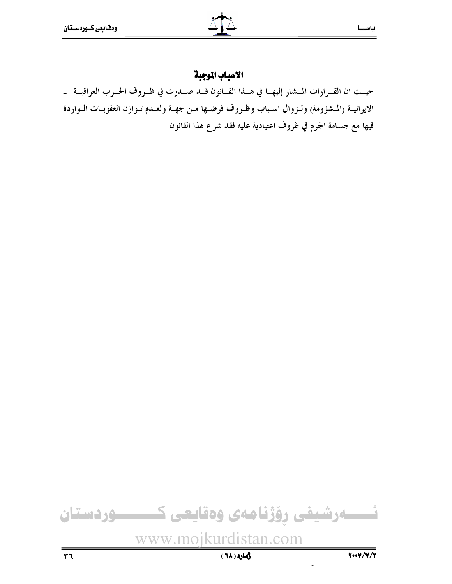#### الاسباب الموجبة

حيــث ان القــرارات المــشار إليهـــا في هـــذا القـــانون قـــد صـــدرت في ظــروف الحــرب العراقيـــة ــ الايرانيــة (المشؤومة) ولـزوال اسـباب وظـروف فرضـها مـن جهـة ولعـدم تـوازن العقوبـات الـواردة فيها مع جسامة الجرم في ظروف اعتيادية عليه فقد شرع هذا القانون.



**زماره ( ٦٨)**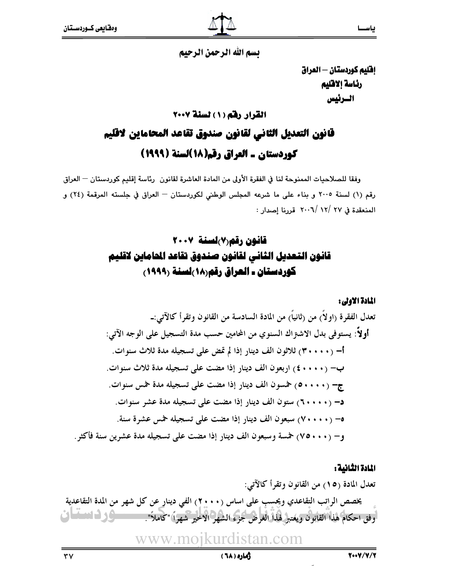يسم الله الرحمن الرحيم

إفليم كوردستان - العراق رئاسة إلاقليم السرئيس

## القرار رفق (١) لسنة ٢٠٠٧ قانون التعديل الثاني لقانون صندوق تقاعد المحاماين لاقليم كوردستان ـ العراق رقم(١٨)لسنة (١٩٩٩)

وفقا للصلاحيات الممنوحة لنا في الفقرة الأولى من المادة العاشرة لقانون رئاسة إقليم كوردستان — العراق رقم (١) لسنة ٢٠٠٥ و بناء على ما شرعه المجلس الوطني لكوردستان - العراق في جلسته المرقمة (٢٤) و المنعقدة في ٢٧ /١٢ /٢٠٠٦ قررنا إصدار :

## قانون رقم (٧) لسنة ٢٠٠٧ قانون التعديل الثاني لقانون صندوق تقاعد الحاماين لاقليم كوردستان ـ العراق رقم(١٨)لسنة (١٩٩٩)

المادة الاولى:

#### المادة الثانية :

زهاره ( ٦٨)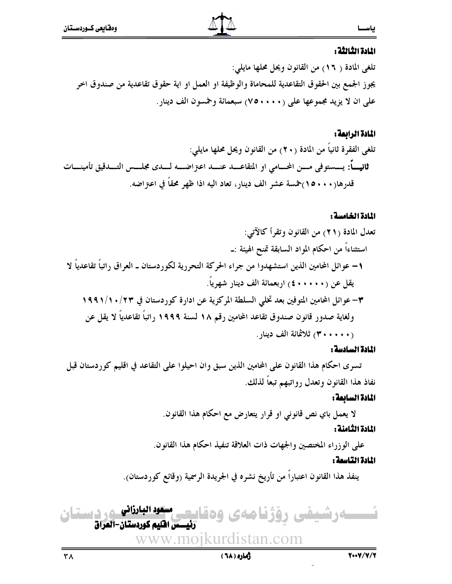#### المادة الثالثة :

تلغي المادة ( ١٦) من القانون ويحل محلها مايلي: يجوز الجمع بين الحقوق التقاعدية للمحاماة والوظيفة او العمل او اية حقوق تقاعدية من صندوق اخر على ان لا يزيد مجموعها على (٢٥٠٠٠) سبعمائة وخمسون الف دينار .

#### المادة الرابعة:

تلغي الفقرة ثانياً من المادة (٢٠) من القانون ويحل محلها مايلي: قدرها(١٥٠٠٠) خمسة عشر الف دينار، تعاد اليه اذا ظهر محقاً في اعتراضه.

#### المادة الخامسة :

#### المادة السادسة :

تسرى احكام هذا القانون على المحامين الذين سبق وان احيلوا على التقاعد في اقليم كوردستان قبل نفاذ هذا القانون وتعدل رواتبهم تبعاً لذلك.

#### المادة السائعة:

لا يعمل باي نص قانوني او قرار يتعارض مع احكام هذا القانون.

#### المادة الثامنة :

على الوزراء المختصين والجهات ذات العلاقة تنفيذ احكام هذا القانون.

#### المادة التاسعة :

ينفذ هذا القانون اعتباراً من تأريخ نشره في الجريدة الرسمية (وقائع كوردستان).



رهاره ( ٦٨)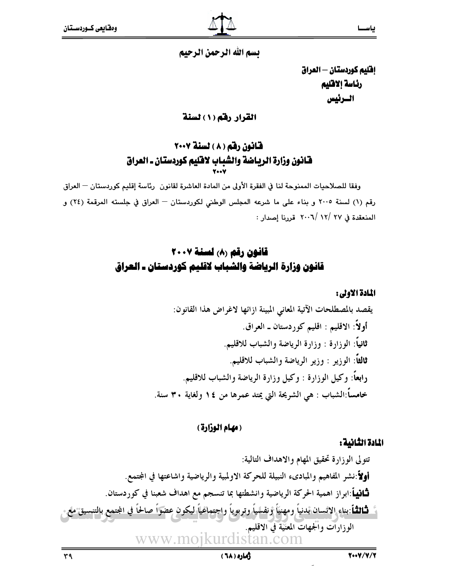تسم الله الرحمن الرحيم

إفليم كوردستان - العراق رئاسة إلاقلبم السرئيس

القرار رفم (١) لسنة

## قانون رقم (٨) لسنة ٢٠٠٧ قانون وزارة الرياضة والشباب لاقليم كوردستان ـ العراق

وفقا للصلاحيات الممنوحة لنا في الفقرة الأولى من المادة العاشرة لقانون رئاسة إقليم كوردستان — العراق رقم (١) لسنة ٢٠٠٥ و بناء على ما شرعه المجلس الوطني لكوردستان - العراق في جلسته المرقمة (٢٤) و المنعقدة في ٢٧ /١٢ /٢٠٠٦ قررنا إصدار :

## قانون رقم (٨) لسنة ٢٠٠٧ قانون وزارة الرياضة والشباب لاقليم كوردستان ـ العراق

#### المادة الاولى:

يقصد بالمصطلحات الآتية المعاني المبينة ازائها لاغراض هذا القانون: أولاً: الاقليم : اقليم كوردستان ـ العراق. ثانياً: الوزارة : وزارة الرياضة والشباب للاقليم. ثالثاً: الوزير : وزير الرياضة والشباب للاقليم. رابعاً: وكيل الوزارة : وكيل وزارة الرياضة والشباب للاقليم. خامساً:الشباب : هي الشريحة التي يمتد عمرها من ١٤ ولغاية ٣٠ سنة.

#### (مهام الوزارة)

#### المادة الثانية:

تتولى الوزارة تحقيق المهام والاهداف التالية: أولاً:نشر المفاهيم والمبادىء النبيلة للحركة الاولمبية والرياضية واشاعتها في المجتمع. ثَنَافِيهِاً:ابراز اهمية الحركة الرياضية وانشطتها بما تنسجم مع اهداف شعبنا في كوردستان. **ثَالثُـأ**:بناءِ الانسان بدنياً ومهنيّاً ونفسياً وتربوياً واجتماعياً ليكون عضواً صالحاً في المجتمع بالتنسيق ملع. الوزارات وألجهات المعنية في الاقليم. www.moikurdistan.com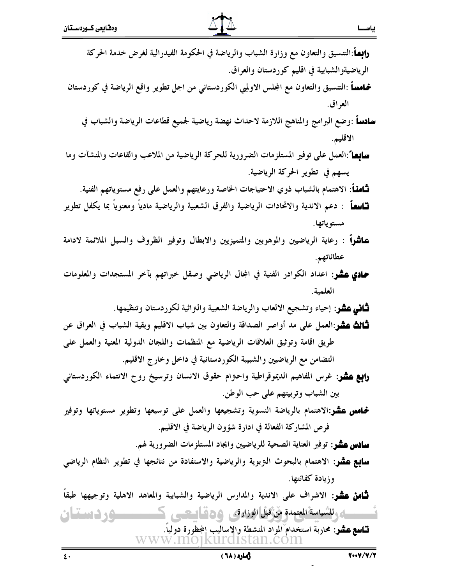| <b>رابِط</b> َ:التنسيق والتعاون مع وزارة الشباب والرياضة في الحكومة الفيدرالية لغرض خدمة الحركة              |
|--------------------------------------------------------------------------------------------------------------|
| الرياضيةوالشبابية في اقليم كوردستان والعراق.                                                                 |
| <mark>څـامسـاً</mark> :التنسيق والتعاون مع المجلس الاولميي الكوردستاني من اجل تطوير واقع الرياضة في كوردستان |
| العراق.                                                                                                      |
| <b>ادساً</b> :وضع البرامج والمناهج اللازمة لاحداث نهضة رياضية لجميع قطاعات الرياضة والشباب في                |
| الاقليم.                                                                                                     |
| <b>سابِعا</b> ً:العمل على توفير المستلزمات الضرورية للحركة الرياضية من الملاعب والقاعات والمنشآت وما         |
| يسهم في تطوير الحركة الرياضية.                                                                               |
| <b>ثـَّامنـأ</b> : الاهتمام بالشباب ذوي الاحتياجات الخاصة ورعايتهم والعمل على رفع مستوياتهم الفنية.          |
| <b>تــاسمــاً</b> : دعم الاندية والاتحادات الرياضية والفرق الشعبية والرياضية مادياً ومعنوياً بما يكفل تطوير  |
| مستوياتها.                                                                                                   |
| <b>عاشراً</b> : رعاية الرياضيين والموهوبين والمتميزيين والابطال وتوفير الظروف والسبل الملائمة لادامة         |
| عطائاتهم.                                                                                                    |
| حمادي عشر: اعداد الكوادر الفنية في المجال الرياضي وصقل خبراتهم بآخر المستجدات والمعلومات                     |
| العلمية.                                                                                                     |
| <b>ثاني عشر</b> : إحياء وتشجيع الالعاب والرياضة الشعبية والتراثية لكوردستان وتنظيمها.                        |
| <b>ثـالث عشو</b> :العمل على مد أواصر الصداقة والتعاون بين شباب الاقليم وبقية الشباب في العراق عن             |
| طريق اقامة وتوثيق العلاقات الرياضية مع المنظمات واللجان الدولية المعنية والعمل على                           |
| التضامن مع الرياضيين والشبيبة الكوردستانية في داخل وخارج الاقليم.                                            |
| <b>رابع عشر</b> : غرس المفاهيم الديموقراطية واحتزام حقوق الانسان وترسيخ روح الانتماء الكوردستاني             |
| بين الشباب وتربيتهم على حب الوطن.                                                                            |
|                                                                                                              |

**خماس عشر**:الاهتمام بالرياضة النسوية وتشجيعها والعمل على توسيعها وتطوير مستوياتها وتوفير فرص المشاركة الفعالة في ادارة شؤون الرياضة في الاقليم.

**سادس عشر**: توفير العناية الصحية للرياضيين وايجاد المستلزمات الضرورية لهم.

**سابع عشر**: الاهتمام بالبحوث التزبوية والرياضية والاستفادة من نتائجها في تطوير النظام الرياضي وزيادة كفائتها.

**ثـامن عشر**: الاشراف على الاندية والمدارس الرياضية والشبابية والمعاهد الاهلية وتوجيهها طبقاً ای للسیاسة المعتمدة مَنْ قَبْل الوزارة ، و 20 قاسمتسی ک ــوردستان

**تــاسع عشو**: محاربة استخدام المواد المنشطة والاساليب المجظّورة دولياً. www.moikurdistan.com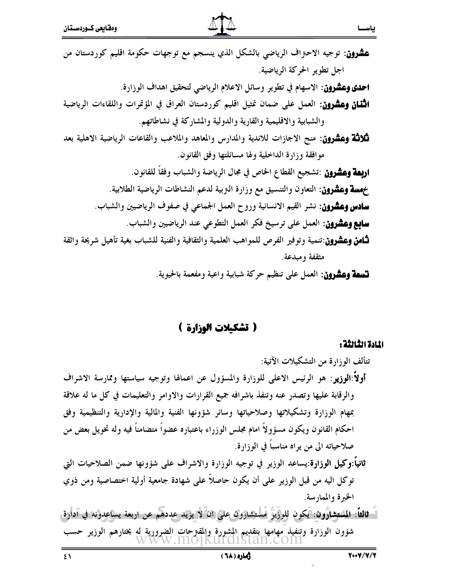**عشرون**: توجيه الاحتراف الرياضي بالشكل الذي ينسجم مع توجهات حكومة اقليم كوردستان من اجل تطوير الحركة الرياضية. **احدي وعشرون**: الاسهام في تطوير وسائل الاعلام الرياضي لتحقيق اهداف الوزارة. **الثَّنان وعشرون**: العمل على ضمان تمثيل اقليم كوردستان العراق في المؤتمرات واللقاءات الرياضية والشبابية والاقليمية والقارية والدولية والمشاركة في نشاطاتهم. **ثلاثة وعشرون**: منح الاجازات للاندية والمدارس والمعاهد والملاعب والقاعات الرياضية الاهلية بعد مو افقة و زارة الداخلية و لها مسائلتها وفق القانون. **اربِعة وعشرون** :تشجيع القطاع الخاص في مجال الرياضة والشباب وفقاً للقانون. خهسة وعشرون: التعاون والتنسيق مع وزارة النزبية لدعم النشاطات الرياضية الطلابية. **سادس وعشرون**: نشر القيم الانسانية وروح العمل الجماعي في صفوف الرياضيين والشباب. **سابع وعشرون**: العمل على ترسيخ فكر العمل التطوعي عند الرياضيين والشباب. **ثــامن وعشرون**:تنمية وتوفير الفرص للمواهب العلمية والثقافية والفنية للشباب بغية تأهيل شريحة واثقة مثقفة ومبدعة.

قسعة وعشرون: العمل على تنظيم حركة شبابية واعية ومفعمة بالحيوية.

#### ( تشكيلات الوزارة )

المادة الثالثة :

تتألف الوزارة من التشكيلات الآتية: أولاً:الوزيو : هو الرئيس الاعلى للوزارة والمسؤول عن اعمالها وتوجيه سياستها وممارسة الاشراف والرقابة عليها وتصدر عنه وتنفذ باشرافه جميع القرارات والاوامر والتعليمات في كل ما له علاقة بمهام الوزارة وتشكيلاتها وصلاحياتها وسائر شؤونها الفنية والمالية والإدارية والتنظيمية وفق احكام القانون ويكون مسؤولاً امام مجلس الوزراء باعتباره عضواً متضامناً فيه وله تخويل بعض من صلاحياته الى من يواه مناسباً في الوزارة. **ثانياً:وكيل الوزارة**:يساعد الوزير في توجيه الوزارة والاشراف على شؤونها ضمن الصلاحيات التي

توكل اليه من قبل الوزير على أن يكون حاصلاً على شهادة جامعية أولية اختصاصية ومن ذوي الحيرة والممارسة.

اً - ثالثاً: المستشارون: أيكون للوزيز أمستشارون علي ان لا يزيد عددهم عن اربعة يساعدونه في أدارق شؤون الوزارة وتنفيذ مهامها بتقديم المشورة والمقترحات الضرورية له يختارهم الوزير حسب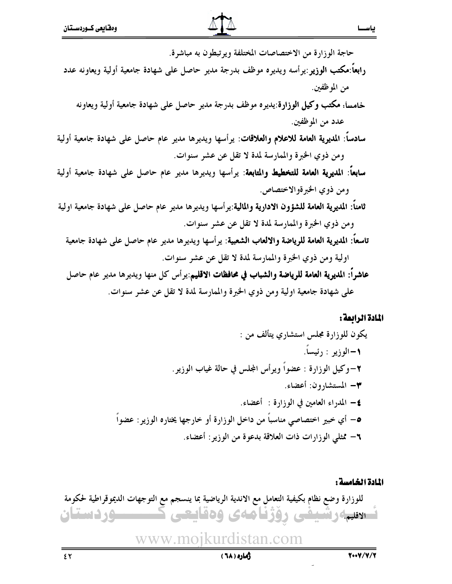

#### المادة الرابعة:

#### المادة الخامسة :

للوزارة وضع نظام بكيفية التعامل مع الاندية الرياضية بما ينسجم مع التوجهات الديموقراطية لحكومة فسادتها وتسيفي ووزناهاى ودقايعي 

www.moikurdistan.com

#### ژماره ( ٦٨)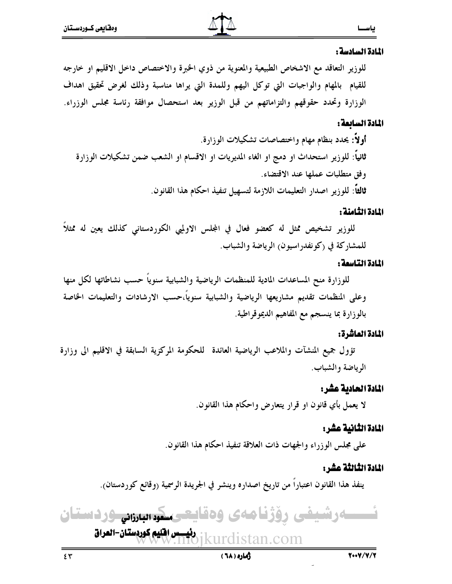#### المادة السادسة :

للوزير التعاقد مع الاشخاص الطبيعية والمعنوية من ذوي الخبرة والاختصاص داخل الاقليم او خارجه للقيام بالمهام والواجبات التي توكل اليهم وللمدة التي يراها مناسبة وذلك لغرض تحقيق اهداف الوزارة وتحدد حقوقهم والتزاماتهم من قبل الوزير بعد استحصال موافقة رئاسة مجلس الوزراء.

#### المادة السابعة :

#### المادة الثامنة :

للوزير تشخيص ممثل له كعضو فعال في المجلس الاولميي الكوردستاني كذلك يعين له ممثلاً للمشاركة في (كونفدراسيون) الرياضة والشباب.

#### المادة التاسمة :

للوزارة منح المساعدات المادية للمنظمات الرياضية والشبابية سنوياً حسب نشاطاتها لكل منها وعلى المنظمات تقديم مشاريعها الرياضية والشبابية سنوياً،حسب الارشادات والتعليمات الخاصة بالوزارة بما ينسجم مع المفاهيم الديموقراطية.

#### المادة العاشرة:

تؤول جميع المنشآت والملاعب الرياضية العائدة للحكومة المركزية السابقة في الاقليم الي وزارة الرياضة والشباب.

#### المادة الحادية عشر:

لا يعمل بأي قانون او قرار يتعارض واحكام هذا القانون.

#### المادة الثانية عشر:

على مجلس الوزراء والجهات ذات العلاقة تنفيذ احكام هذا القانون.

#### المادة الثّالثّة عش :

ينفذ هذا القانون اعتباراً من تاريخ اصداره وينشر في الجريدة الرسمية (وقائع كوردستان).

سەرشىفى رۆژنامەي وەقايتىسكوسىرەنى ودىستان رديسيس افليم كوردستان-العراق<br>1kur stan.com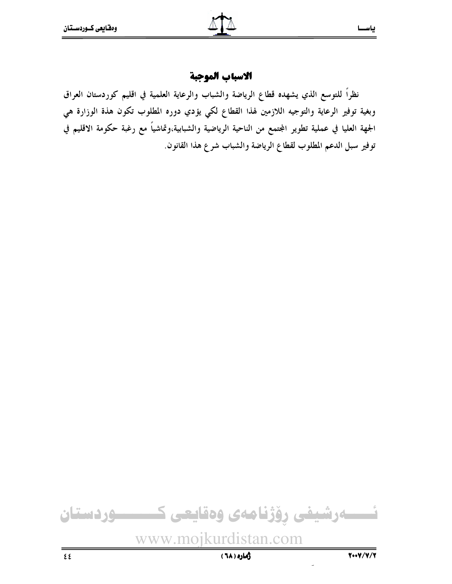الاسباب الموجبة

نظراً للتوسع الذي يشهده قطاع الرياضة والشباب والرعاية العلمية في اقليم كوردستان العراق وبغية توفير الرعاية والتوجيه اللازمين لهذا القطاع لكي يؤدي دوره المطلوب تكون هذة الوزارة هي الجهة العليا في عملية تطوير المجتمع من الناحية الرياضية والشبابية،وتماشياً مع رغبة حكومة الاقليم في توفير سبل الدعم المطلوب لقطاع الرياضة والشباب شرع هذا القانون.

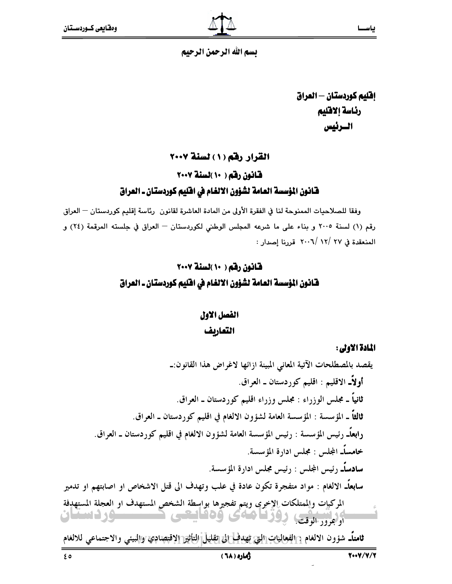تسم الله الرحمن الرحيم

إفليم كوردستان — العراق رئاسة إلاقليم السرئيس

القرار رقم (١) لسنة ٢٠٠٧

قانون رقم ( ١٠ )لسنة ٢٠٠٧

#### فَّـانـون المؤسسة العـامة لشؤون الالغـام في افتَّليم كوردستـان ـ العـراق

وفقا للصلاحيات الممنوحة لنا في الفقرة الأولى من المادة العاشرة لقانون رئاسة إقليم كوردستان — العراق رقم (١) لسنة ٢٠٠٥ و بناء على ما شرعه المجلس الوطني لكوردستان - العراق في جلسته المرقمة (٢٤) و المنعقدة في ٢٧ /١٢ /٢٠٠٦ قررنا إصدار :

## قانون رقم ( ١٠ )لسنة ٢٠٠٧ فَّانُونَ المؤسسةَ العامةُ لشَّؤونَ الالغام في افْلِيم كوردستان ـ العراق

## الفصل الاول التعاريف

المادة الأولى:

يقصد بالمصطلحات الآتية المعاني المبينة ازائها لاغراض هذا القانون:ــ أو لاًـ الاقليم : اقليم كوردستان ـ العراق. ثانياً ـ مجلس الوزراء : مجلس وزراء اقليم كوردستان ـ العراق. ثالثًا ـ المؤسسة : المؤسسة العامة لشؤون الالغام في اقليم كوردستان ـ العراق. رابِعاًــ رئيس المؤسسة : رئيس المؤسسة العامة لشؤون الالغام في اقليم كوردستان ــ العراق. خامساًـ المجلس : مجلس ادارة المؤسسة. **سادساًـ** رئيس المجلس : رئيس مجلس ادارة المؤسسة. **سابعاًـ** الالغام : مواد متفجرة تكون عادة في علب وتهدف الى قتل الاشخاص او اصابتهم او تدمير المركبات والممتلكات الإخرى ويتم تفجيرها بواسطة الشخص المستهدف او العجلة المستهدفة البراسيس روزنامهى وهطيعي كمستقوردستان

ثامناًـ شؤون الالغام ٦الفعاليات التي تهدف إلى تقليل التأثير الاقتصادي والبيئي والاجتماعي للالغام

دهاره ( ٦٨)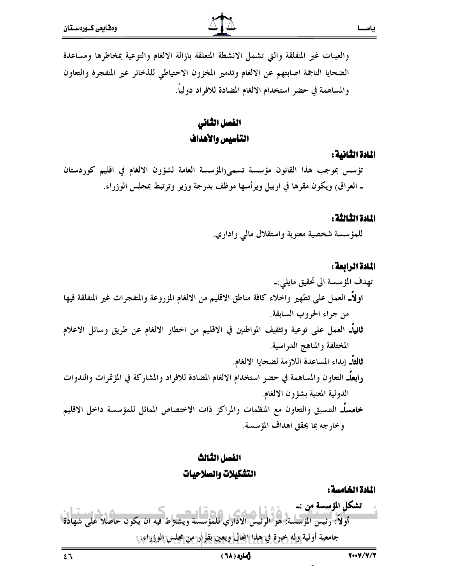والعينات غير المنفلقة والتي تشمل الانشطة المتعلقة بازالة الالغام والتوعية بمخاطرها ومساعدة الضحايا الناجمة اصابتهم عن الالغام وتدمير المخزون الاحتياطي للذخائر غير المنفجرة والتعاون والمساهمة في حضر استخدام الالغام المضادة للافراد دولياً.

## الفصل الثانى التأسيس والأهداف

#### المادة الثانية :

ياســا

تؤسس بموجب هذا القانون مؤسسة تسمى(المؤسسة العامة لشؤون الالغام في اقليم كوردستان ـ العراق) ويكون مقرها في اربيل ويرأسها موظف بدرجة وزير وترتبط بمجلس الوزراء.

#### المادة الثالثة :

للمؤسسة شخصية معنوية واستقلال مالي واداري.

#### المادة الرابعة:

## الفصل الثالث التشكيلات والصلاحيات

المادة الخامسة :

تشكل المؤسسة من :ــ .<br>**أولاً:** رئيس المؤسسة: هو الرئيس الاداري للمؤ يسة ويشترط فيه ان يكون حاصلاً على شهادة جامعية أولية وله خبرة في هذا المجال ويعين بقرار من مجلس الوزراء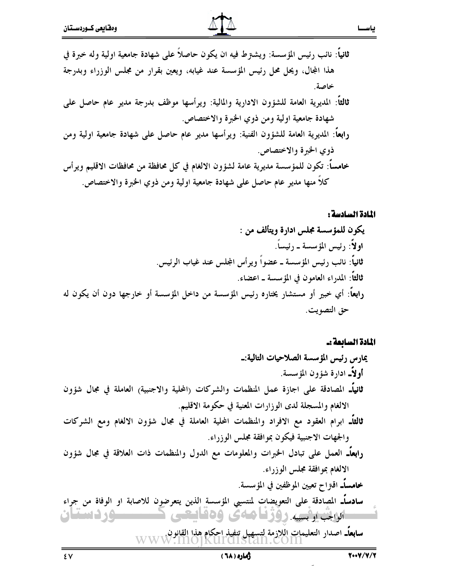#### المادة السادسة:

ياســا

المادة السابعة :-

سابعاًـ اصدار التعليمات اللازمة لتسهيل تنفيذ احكام هذا القانون.<br>WWW.MOJKUICIISLAN.COM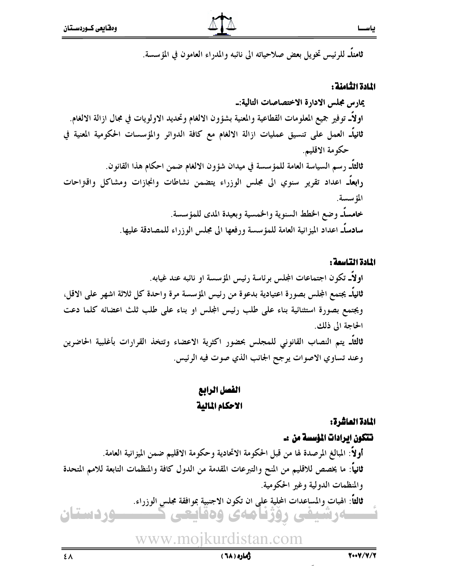**ثامناً\_ ل**لرئيس تخويل بعض صلاحياته الى نائبه والمدراء العامون في المؤسسة.

#### المادة الثامنة :

## يمارس مجلس الادارة الاختصاصات التالية:۔ اولاًــ توفير جميع المعلومات القطاعية والمعنية بشؤون الالغام وتحديد الاولويات في مجال ازالة الالغام. ثانياًـ العمل على تنسيق عمليات ازالة الالغام مع كافة الدوائر والمؤسسات الحكومية المعنية في حكومة الاقليم. ثالثاً\_ رسم السياسة العامة للمؤسسة في ميدان شؤون الالغام ضمن احكام هذا القانون. رابعاًـ اعداد تقرير سنوي الى مجلس الوزراء يتضمن نشاطات وانجازات ومشاكل واقتراحات المؤسسة. خامساًـ وضع الخطط السنوية والخمسية وبعيدة المدى للمؤسسة. سادساًـ اعداد الميزانية العامة للمؤسسة ورفعها الى مجلس الوزراء للمصادقة عليها.

#### المادة التاسمة :

### القصل الرابع الاحكام المالية

#### المادة العاشرة:

تتكون ايرادات المؤسسة من :۔ أولاً: المبالغ المرصدة لها من قبل الحكومة الاتحادية وحكومة الاقليم ضمن الميزانية العامة. ثانياً: ما يخصص للاقليم من المنح والتبرعات المقدمة من الدول كافة والمنظمات التابعة للامم المتحدة والمنظمات الدولية وغير الحكومية. ثالثاً: الهبات والمساعدات المحلية عِلى ان تكون الاجنبية بموافقة مجلس الوزراء.

www.moikurdistan.com

ـــەرشىفى رۇژنامەي وەقايعى كـــ

**وردستان**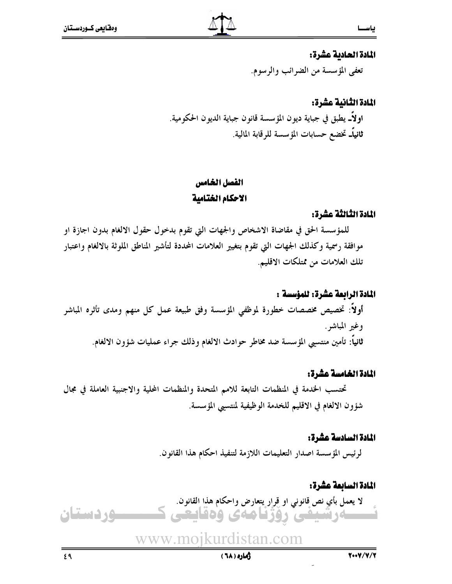#### المادة الحادية عشرة:

تعفي المؤسسة من الضرائب والرسوم.

## المادة الثانية عشرة: اولاًــ يطبق في جباية ديون المؤسسة قانون جباية الديون الحكومية. **ثانياًـ** تخضع حسابات المؤسسة للرقابة المالية.

## الفصل الخامس الاحكام الختامية

#### المادة الثالثة عشرة:

للمؤسسة الحق في مقاضاة الاشخاص والجهات التي تقوم بدخول حقول الالغام بدون اجازة او موافقة رسمية وكذلك الجهات التي تقوم بتغيير العلامات المحددة لتأشير المناطق الملوثة بالالغام واعتبار تلك العلامات من ممتلكات الاقليم.

#### المادة الرابعة عشرة: للمؤسسة :

أولاً: تخصيص مخصصات خطورة لموظفى المؤسسة وفق طبيعة عمل كل منهم ومدى تأثره المباشر وغير المباشر . ثانياً: تأمين منتسيى المؤسسة ضد مخاطر حوادث الالغام وذلك جراء عمليات شؤون الالغام.

#### المادة الخامسة عشرة:

تحتسب الخدمة في المنظمات التابعة للامم المتحدة والمنظمات المحلية والاجنبية العاملة في مجال شؤون الالغام في الاقليم للخدمة الوظيفية لمنتسبي المؤسسة.

#### المادة السادسة عشرة:

لرئيس المؤسسة اصدار التعليمات اللازمة لتنفيذ احكام هذا القانون.

#### المادة السابعة عشرة: لا يعمل بأي نص قانوني او قِرار يتعارض واحكام هذا القانون. ـــەرشىفى رۇژنامەي وەقايعى ك وردستان

www.moikurdistan.com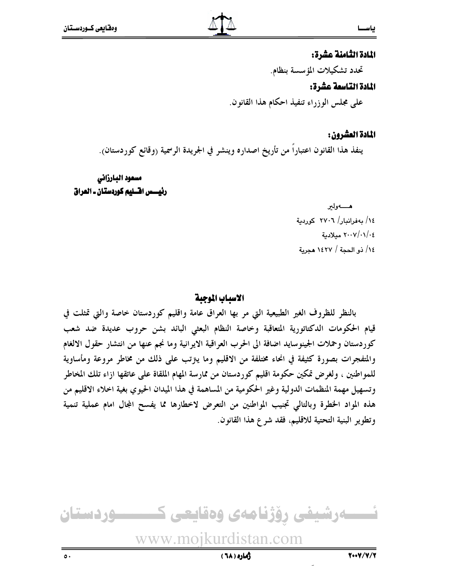#### المادة الثامنة عشرة:

تحدد تشكيلات المؤسسة بنظام.

#### المادة التاسعة عشرة:

على مجلس الوزراء تنفيذ احكام هذا القانون.

#### المادة العشرون:

ينفذ هذا القانون اعتباراً من تأريخ اصداره وينشر في الجريدة الرسمية (وقائع كوردستان).

مسعود البارزاني رئيسس اقسليم كوردستان ـ العراق

> هـــــــهولير ١٤/ بهفرانبار/ ٢٧٠٦ كوردية ٢٠٠٧/٠١/٠٤ مىلادىة ١٤/ ذو الحجة / ١٤٢٧ هجرية

#### الاسباب الموجبة

بالنظر للظروف الغير الطبيعية التي مر بها العراق عامة واقليم كوردستان خاصة والتي تمثلت في قيام الحكومات الدكتاتورية المتعاقبة وخاصة النظام البعثي البائد بشن حروب عديدة ضد شعب كوردستان وحملات الجينوسايد اضافة الى الحرب العراقية الايرانية وما نجم عنها من انتشار حقول الالغام والمتفجرات بصورة كثيفة في انحاء مختلفة من الاقليم وما ينزتب على ذلك من مخاطر مروعة ومأساوية للمواطنين ، ولغرض تمكين حكومة اقليم كوردستان من ممارسة المهام الملقاة على عاتقها ازاء تلك المخاطر وتسهيل مهمة المنظمات الدولية وغير الحكومية من المساهمة في هذا الميدان الحيوي بغية اخلاء الاقليم من هذه المواد الحطرة وبالتالي تجنيب المواطنين من التعرض لاخطارها مما يفسح المجال امام عملية تنمية وتطوير البنية التحتية للاقليم، فقد شرع هذا القانون.

نسسەرشيفى رۆژنامەى وەقايعى كـــــــوردستان www.moikurdistan.com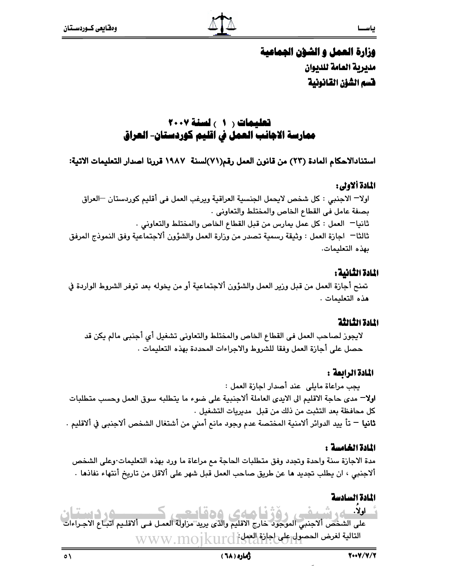

## وزارة العمل و الشؤن الجماعية مليرية العامة للديوان فسم الشؤن القانونية

### تعليمات ( 1 ) لسنة ٢٠٠٧ ممارسة الاجانب العمل في اقليم كوردستان- العراق

استنادالاحكام المادة (٢٣) من قانون العمل رقم(٧١)لسنة ١٩٨٧ قررنا اصدار التعليمات الاتية:

#### المادة ألاولى:

اولا— الاجنبي : كل شخص لايحمل الجنسية العراقية ويرغب العمل في أقليم كوردستان —العراق بصفة عامل في القطاع الخاص والمختلط والتعاوني . ثانيا— العمل : كل عمل يمارس من قبل القطاع الخاص والمختلط والتعاوني . ثالثا— اجازة العمل : وثيقة رسمية تصدر من وزارة العمل والشؤون ألاجتماعية وفق النموذج المرفق ىھذە التعليمات.

#### المادة الثانية:

تمنح أجازة العمل من قبل وزير العمل والشؤون ألاجتماعية أو من يخوله بعد توفر الشروط الواردة في هذه التعليمات .

#### المادة الثالثة

لايجوز لصاحب العمل في القطاع الخاص والمختلط والتعاوني تشغيل أي أجنبي مالم يكن قد حصل على أجازة العمل وفقا للشروط والاجراءات المحددة بهذه التعليمات .

#### المادة الرابعة :

يجب مراعاة مايلي عند أصدار اجازة العمل : **اولا**— مدى حاجة الاقليم الى الايدى العاملة ألاجنبية على ضوء ما يتطلبه سوق العمل وحسب متطلبات كل محافظة بعد التثبت من ذلك من قبل مديريات التشغيل . **ثانيا** — تأ ييد الدوائر ألامنية المختصة عدم وجود مانع أمنى من أشتغال الشخص ألاجنبي في ألاقليم .

#### المادة الخامسة :

مدة الاجازة سنة واحدة وتجدد وفق متطلبات الحاجة مع مراعاة ما ورد بهذه التعليمات∙وعلى الشخص ألاجنبي ، ان يطلب تجديد ها عن طريق صاحب العمل قبل شهر على ألاقل من تاريخ أنتهاء نفاذها ٠

### المادة السادسة

اولا. م، دستا، امەم، مەمايو على الشخص ألاجنبي الموجود خارج الأقليم والذي يريد مزاولة العمل فـي ألاقلـيم اتبـاع الاجـراءات التالية لغرض الحصول على اجازة العملى أن WWW.MOIkurd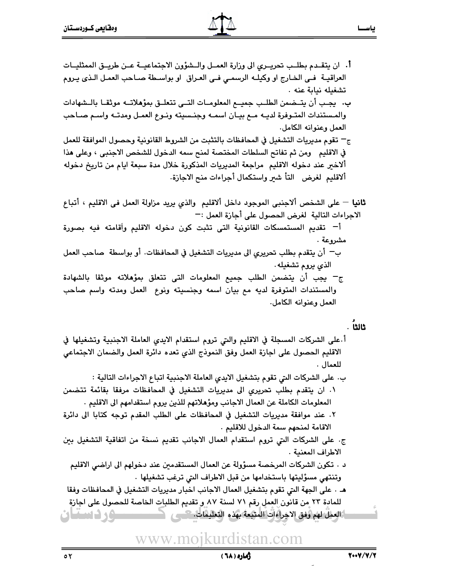أ. ان يتقـدم بطلـب تحريــرى الى وزارة العمــل والــشؤون الاجتماعيــة عــن طريــق الممثليــات العراقيــة فـي الخـارج او وكيلــه الرسمــي فــي العـراق او بواســطة صــاحب العمـل الـذي يـروم تشغيله نياية عنه . بِ. ۖ يجب أن يتــضمن الطلـب جميــع المعلومــات التــى تتعلــق بمؤهلاتــه موثقـا بالــشهادات والمستندات المتـوفرة لديــه مــع بيــان اسمــه وجنــسيته ونــوع العمــل ومدتــه واسـم صــاحب العمل وعنوانه الكامل. ج— تقوم مديريات التشغيل في المحافظات بالتثبت من الشروط القانونية وحصول الموافقة للعمل في الاقليم ومن ثم تفاتح السلطات المختصة لمنح سمه الدخول للشخص الاجنبي ، وعلى هذا ألاخير عند دخوله الاقليم مراجعة المديريات المذكورة خلال مدة سبعة ايام من تاريخ دخوله ألاقليم لغرض التأ شير واستكمال أجراءات منح الاجازة.

**ثانيا** — على الشخص ألاجنبي الموجود داخل ألاقليم والذي يريد مزاولة العمل في الاقليم ، أتباع الاجراءات التالية لغرض الحصول على أجازة العمل :—

أ – تقديم المستمسكات القانونية التى تثبت كون دخوله الاقليم وآقامته فيه بصورة مشروعة .

- بِ ۖ أن يتقدم بطلب تحريري الى مديريات التشغيل في المحافظات. أو بواسطة ۖ صاحب العمل الذي يروم تشغيله.
- ج- يجب أن يتضمن الطلب جميع المعلومات التى تتعلق بمؤهلاته موثقا بالشهادة والمستندات المتوفرة لديه مع بيان اسمه وجنسيته ونوع العمل ومدته واسم صاحب العمل وعنوانه الكامل.

#### . ไปเว

- أ على الشركات المسجلة في الاقليم والتي تروم استقدام الايدي العاملة الاجنبية وتشغيلها في الاقليم الحصول على اجازة العمل وفق النموذج الذي تعده دائرة العمل والضمان الاجتماعي للعمال .
	- ب. على الشركات التي تقوم بتشغيل الايدي العاملة الاجنبية اتباع الاجراءات التالية :
- ١. ان يتقدم بطلب تحريري الى مديريات التشغيل في المحافظات مرفقا بقائمة تتضمن المعلومات الكاملة عن العمال الاجانب ومؤهلاتهم للذين يروم استقدامهم الى الاقليم .
- ٢. عند موافقة مديريات التشغيل في المحافظات على الطلب المقدم توجه كتابا الى دائرة الاقامة لمنحهم سمة الدخول للاقليم .
- ج. على الشركات التي تروم استقدام العمال الاجانب تقديم نسخة من اتفاقية التشغيل بين الاطراف المعنية .
	- د . تكون الشركات المرخصة مسؤولة عن العمال المستقدمين عند دخولهم الى اراضي الاقليم وتنتهي مسؤليتها باستخدامها من قبل الاطراف التي ترغب تشغيلها .
- هـ. . على الجهة التي تقوم بتشغيل العمال الاجانب اخبار مديريات التشغيل في المحافظات وفقا للمادة ٢٣ من قانون العمل رقم ٧١ لسنة ٨٧ و تقديم الطلبات الخاصة للحصول على اجازة **ن د د سياران**

## www.moikurdistan.com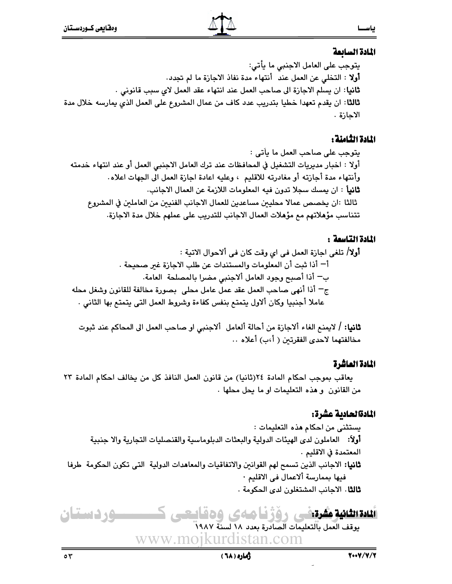#### المادة السابعة

يتوجب على العامل الاجنبي ما يأتي: **أولا** : التخلي عن العمل عند أنتهاء مدة نفاذ الاجازة ما لم تجدد. **ثانيا**: ان يسلم الاجازة الى صاحب العمل عند انتهاء عقد العمل لاى سبب قانونى . **ثالثا**: ان يقدم تعهدا خطيا بتدريب عدد كاف من عمال المشروع على العمل الذي يمارسه خلال مدة الاحازة .

#### المادة الثامنة :

يتوجب على صاحب العمل ما يأتي : أولا : اخبار مديريات التشغيل في المحافظات عند ترك العامل الاجنبي العمل أو عند انتهاء خدمته وأنتهاء مدة أجازته أو مغادرته للاقليم ، وعليه اعادة اجازة العمل الى الجهات اعلاه. **ثانياً** : ان يمسك سجلا تدون فيه المعلومات اللازمة عن العمال الاجانب. ثالثا :ان يخصص عمالا محليين مساعدين للعمال الاجانب الفنيين من العاملين في المشروع تتناسب مؤهلاتهم مع مؤهلات العمال الاجانب للتدريب على عملهم خلال مدة الاجازة.

#### المادة التاسعة :

**أولا/** تلغي اجازة العمل في اي وقت كان في ألاحوال الاتية : أ— أذا ثبت أن المعلومات والمستندات عن طلب الاجازة غبر صحيحة . ب— أذا أصبح وجود العامل ألاجنبي مضرا بالمصلحة العامة. ج ۖ أذا أنهى صاحب العمل عقد عمل عامل محلي ۖ بصورة مخالفة للقانون وشغل محله عاملا أجنبيا وكان ألاول يتمتع بنفس كفاءة وشروط العمل التي يتمتع بها الثاني ٠

**ثانيا: /** لايمنع الغاء ألاجازة من أحالة ألعامل ألاجنبي او صاحب العمل الى المحاكم عند ثبوت مخالفتهما لاحدى الفقرتين ( أ،ب) أعلاه ..

### المادة العاشرة

يعاقب بموجب احكام المادة ٢٤(ثانيا) من قانون العمل النافذ كل من يخالف احكام المادة ٢٣ من القانون و هذه التعليمات او ما يحل محلها .

## المادةالحادية عشرة:

يستثنى من احكام هذه التعليمات : أولاً: العاملون لدى الهيئات الدولية والبعثات الدبلوماسية والقنصليات التجارية والا جنبية المعتمدة في الاقليم . ثانيا: الاجانب الذين تسمح لهم القوانين والاتفاقيات والمعاهدات الدولية التي تكون الحكومة طرفا فيها بممارسة ألاعمال في الاقليم · **ثالثا** . الاجانب المشتغلون لدى الحكومة .

#### تىدىكى كەن ئىرەنگى رۆژنامەي دەقايىمى ك وردستان

يوقف العمل بالتعليمات الصادرة بعدد ١٨ لسنة ١٩٨٧ www.moikurdistan.com